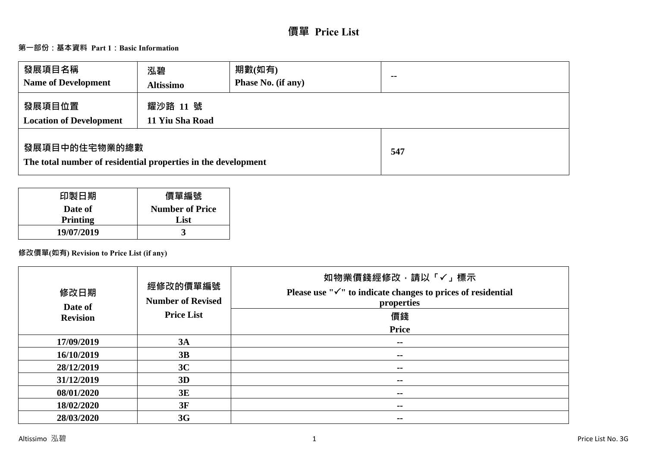# **價單 Price List**

# **第一部份:基本資料 Part 1:Basic Information**

| 發展項目名稱<br><b>Name of Development</b>                                           | 泓碧<br><b>Altissimo</b>      | 期數(如有)<br>Phase No. (if any) | $\sim$ $\sim$ |
|--------------------------------------------------------------------------------|-----------------------------|------------------------------|---------------|
| 發展項目位置<br><b>Location of Development</b>                                       | 耀沙路 11 號<br>11 Yiu Sha Road |                              |               |
| 發展項目中的住宅物業的總數<br>The total number of residential properties in the development |                             |                              | 547           |

| 印製日期            | 價單編號                   |
|-----------------|------------------------|
| Date of         | <b>Number of Price</b> |
| <b>Printing</b> | List                   |
| 19/07/2019      |                        |

# **修改價單(如有) Revision to Price List (if any)**

| 修改日期<br>Date of<br><b>Revision</b> | 經修改的價單編號<br><b>Number of Revised</b><br><b>Price List</b> | 如物業價錢經修改,請以「√」標示<br>Please use " $\checkmark$ " to indicate changes to prices of residential<br>properties<br>價錢<br>Price |
|------------------------------------|-----------------------------------------------------------|---------------------------------------------------------------------------------------------------------------------------|
| 17/09/2019                         | 3A                                                        | $\sim$ $\sim$                                                                                                             |
| 16/10/2019                         | 3B                                                        | $\sim$                                                                                                                    |
| 28/12/2019                         | 3C                                                        | $- -$                                                                                                                     |
| 31/12/2019                         | 3D                                                        | --                                                                                                                        |
| 08/01/2020                         | 3E                                                        | $- -$                                                                                                                     |
| 18/02/2020                         | 3F                                                        | --                                                                                                                        |
| 28/03/2020                         | 3G                                                        | $- -$                                                                                                                     |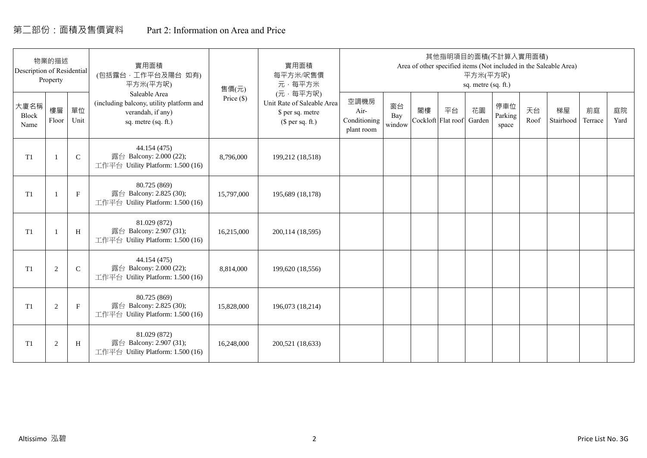# 第二部份:面積及售價資料 Part 2: Information on Area and Price

| Description of Residential | 物業的描述<br>Property |              | 實用面積<br>(包括露台, 工作平台及陽台 如有)<br>平方米(平方呎)                                                                | 售價(元)      | 實用面積<br>每平方米/呎售價<br>元·每平方米                                                     |                                            |                     |    | 其他指明項目的面積(不計算入實用面積)             | 平方米(平方呎)<br>sq. metre (sq. ft.) |                         |            | Area of other specified items (Not included in the Saleable Area) |               |            |
|----------------------------|-------------------|--------------|-------------------------------------------------------------------------------------------------------|------------|--------------------------------------------------------------------------------|--------------------------------------------|---------------------|----|---------------------------------|---------------------------------|-------------------------|------------|-------------------------------------------------------------------|---------------|------------|
| 大廈名稱<br>Block<br>Name      | 樓層<br>Floor       | 單位<br>Unit   | Saleable Area<br>(including balcony, utility platform and<br>verandah, if any)<br>sq. metre (sq. ft.) | Price (\$) | (元·每平方呎)<br>Unit Rate of Saleable Area<br>\$ per sq. metre<br>$$$ per sq. ft.) | 空調機房<br>Air-<br>Conditioning<br>plant room | 窗台<br>Bay<br>window | 閣樓 | 平台<br>Cockloft Flat roof Garden | 花園                              | 停車位<br>Parking<br>space | 天台<br>Roof | 梯屋<br>Stairhood                                                   | 前庭<br>Terrace | 庭院<br>Yard |
| T1                         |                   | $\mathsf{C}$ | 44.154 (475)<br>露台 Balcony: 2.000 (22);<br>工作平台 Utility Platform: 1.500 (16)                          | 8,796,000  | 199,212 (18,518)                                                               |                                            |                     |    |                                 |                                 |                         |            |                                                                   |               |            |
| T1                         |                   | $\mathbf F$  | 80.725 (869)<br>露台 Balcony: 2.825 (30);<br>工作平台 Utility Platform: 1.500 (16)                          | 15,797,000 | 195,689 (18,178)                                                               |                                            |                     |    |                                 |                                 |                         |            |                                                                   |               |            |
| T <sub>1</sub>             |                   | H            | 81.029 (872)<br>露台 Balcony: 2.907 (31);<br>工作平台 Utility Platform: 1.500 (16)                          | 16,215,000 | 200,114 (18,595)                                                               |                                            |                     |    |                                 |                                 |                         |            |                                                                   |               |            |
| T1                         | 2                 | $\mathbf C$  | 44.154 (475)<br>露台 Balcony: 2.000 (22);<br>工作平台 Utility Platform: 1.500 (16)                          | 8,814,000  | 199,620 (18,556)                                                               |                                            |                     |    |                                 |                                 |                         |            |                                                                   |               |            |
| T1                         | 2                 | $\mathbf{F}$ | 80.725 (869)<br>露台 Balcony: 2.825 (30);<br>工作平台 Utility Platform: 1.500 (16)                          | 15,828,000 | 196,073 (18,214)                                                               |                                            |                     |    |                                 |                                 |                         |            |                                                                   |               |            |
| T1                         | $\overline{2}$    | H            | 81.029 (872)<br>露台 Balcony: 2.907 (31);<br>工作平台 Utility Platform: 1.500 (16)                          | 16,248,000 | 200,521 (18,633)                                                               |                                            |                     |    |                                 |                                 |                         |            |                                                                   |               |            |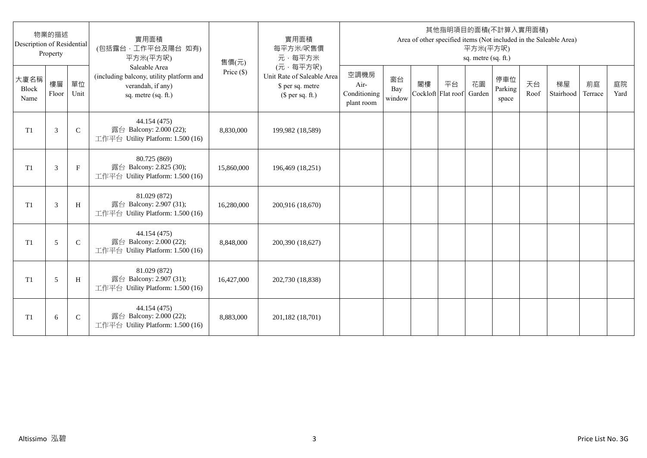| Description of Residential | 物業的描述<br>Property |              | 實用面積<br>(包括露台,工作平台及陽台 如有)<br>平方米(平方呎)                                                                 | 售價(元)      | 實用面積<br>每平方米/呎售價<br>元·每平方米                                                     |                                            |                     |                          |    | 平方米(平方呎)<br>sq. metre (sq. ft.) | 其他指明項目的面積(不計算入實用面積)     |            | Area of other specified items (Not included in the Saleable Area) |               |            |
|----------------------------|-------------------|--------------|-------------------------------------------------------------------------------------------------------|------------|--------------------------------------------------------------------------------|--------------------------------------------|---------------------|--------------------------|----|---------------------------------|-------------------------|------------|-------------------------------------------------------------------|---------------|------------|
| 大廈名稱<br>Block<br>Name      | 樓層<br>Floor       | 單位<br>Unit   | Saleable Area<br>(including balcony, utility platform and<br>verandah, if any)<br>sq. metre (sq. ft.) | Price (\$) | (元·每平方呎)<br>Unit Rate of Saleable Area<br>\$ per sq. metre<br>$$$ per sq. ft.) | 空調機房<br>Air-<br>Conditioning<br>plant room | 窗台<br>Bay<br>window | 閣樓<br>Cockloft Flat roof | 平台 | 花園<br>Garden                    | 停車位<br>Parking<br>space | 天台<br>Roof | 梯屋<br>Stairhood                                                   | 前庭<br>Terrace | 庭院<br>Yard |
| T <sub>1</sub>             | 3                 | $\mathsf{C}$ | 44.154 (475)<br>露台 Balcony: 2.000 (22);<br>工作平台 Utility Platform: 1.500 (16)                          | 8,830,000  | 199,982 (18,589)                                                               |                                            |                     |                          |    |                                 |                         |            |                                                                   |               |            |
| T <sub>1</sub>             | 3                 | $_{\rm F}$   | 80.725 (869)<br>露台 Balcony: 2.825 (30);<br>工作平台 Utility Platform: 1.500 (16)                          | 15,860,000 | 196,469 (18,251)                                                               |                                            |                     |                          |    |                                 |                         |            |                                                                   |               |            |
| T1                         | 3                 | H            | 81.029 (872)<br>露台 Balcony: 2.907 (31);<br>工作平台 Utility Platform: 1.500 (16)                          | 16,280,000 | 200,916 (18,670)                                                               |                                            |                     |                          |    |                                 |                         |            |                                                                   |               |            |
| T1                         | 5                 | $\mathsf{C}$ | 44.154 (475)<br>露台 Balcony: 2.000 (22);<br>工作平台 Utility Platform: 1.500 (16)                          | 8,848,000  | 200,390 (18,627)                                                               |                                            |                     |                          |    |                                 |                         |            |                                                                   |               |            |
| T1                         | 5                 | H            | 81.029 (872)<br>露台 Balcony: 2.907 (31);<br>工作平台 Utility Platform: 1.500 (16)                          | 16,427,000 | 202,730 (18,838)                                                               |                                            |                     |                          |    |                                 |                         |            |                                                                   |               |            |
| T <sub>1</sub>             | 6                 | $\mathsf{C}$ | 44.154 (475)<br>露台 Balcony: 2.000 (22);<br>工作平台 Utility Platform: 1.500 (16)                          | 8,883,000  | 201,182 (18,701)                                                               |                                            |                     |                          |    |                                 |                         |            |                                                                   |               |            |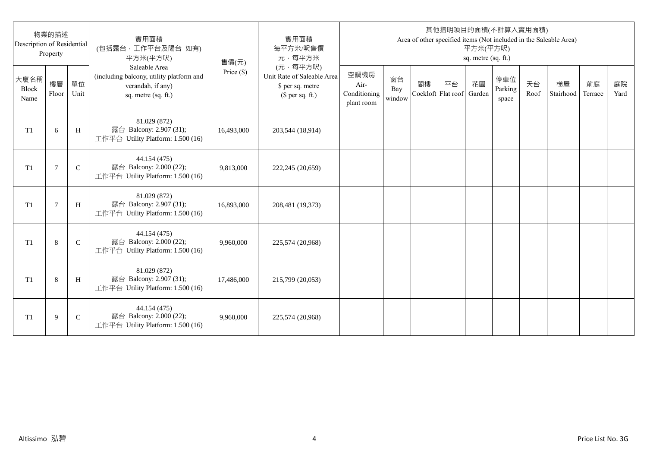| Description of Residential | 物業的描述<br>Property |              | 實用面積<br>(包括露台,工作平台及陽台 如有)<br>平方米(平方呎)                                                                 | 售價(元)      | 實用面積<br>每平方米/呎售價<br>元·每平方米                                                     |                                            |                     |                          |    | 平方米(平方呎)<br>sq. metre (sq. ft.) | 其他指明項目的面積(不計算入實用面積)     |            | Area of other specified items (Not included in the Saleable Area) |               |            |
|----------------------------|-------------------|--------------|-------------------------------------------------------------------------------------------------------|------------|--------------------------------------------------------------------------------|--------------------------------------------|---------------------|--------------------------|----|---------------------------------|-------------------------|------------|-------------------------------------------------------------------|---------------|------------|
| 大廈名稱<br>Block<br>Name      | 樓層<br>Floor       | 單位<br>Unit   | Saleable Area<br>(including balcony, utility platform and<br>verandah, if any)<br>sq. metre (sq. ft.) | Price (\$) | (元·每平方呎)<br>Unit Rate of Saleable Area<br>\$ per sq. metre<br>$$$ per sq. ft.) | 空調機房<br>Air-<br>Conditioning<br>plant room | 窗台<br>Bay<br>window | 閣樓<br>Cockloft Flat roof | 平台 | 花園<br>Garden                    | 停車位<br>Parking<br>space | 天台<br>Roof | 梯屋<br>Stairhood                                                   | 前庭<br>Terrace | 庭院<br>Yard |
| T <sub>1</sub>             | 6                 | H            | 81.029 (872)<br>露台 Balcony: 2.907 (31);<br>工作平台 Utility Platform: 1.500 (16)                          | 16,493,000 | 203,544 (18,914)                                                               |                                            |                     |                          |    |                                 |                         |            |                                                                   |               |            |
| T <sub>1</sub>             | 7                 | $\mathsf{C}$ | 44.154 (475)<br>露台 Balcony: 2.000 (22);<br>工作平台 Utility Platform: 1.500 (16)                          | 9,813,000  | 222,245 (20,659)                                                               |                                            |                     |                          |    |                                 |                         |            |                                                                   |               |            |
| T1                         | $\overline{7}$    | H            | 81.029 (872)<br>露台 Balcony: 2.907 (31);<br>工作平台 Utility Platform: 1.500 (16)                          | 16,893,000 | 208,481 (19,373)                                                               |                                            |                     |                          |    |                                 |                         |            |                                                                   |               |            |
| T1                         | 8                 | $\mathsf{C}$ | 44.154 (475)<br>露台 Balcony: 2.000 (22);<br>工作平台 Utility Platform: 1.500 (16)                          | 9,960,000  | 225,574 (20,968)                                                               |                                            |                     |                          |    |                                 |                         |            |                                                                   |               |            |
| T1                         | 8                 | H            | 81.029 (872)<br>露台 Balcony: 2.907 (31);<br>工作平台 Utility Platform: 1.500 (16)                          | 17,486,000 | 215,799 (20,053)                                                               |                                            |                     |                          |    |                                 |                         |            |                                                                   |               |            |
| T <sub>1</sub>             | 9                 | $\mathsf{C}$ | 44.154 (475)<br>露台 Balcony: 2.000 (22);<br>工作平台 Utility Platform: 1.500 (16)                          | 9,960,000  | 225,574 (20,968)                                                               |                                            |                     |                          |    |                                 |                         |            |                                                                   |               |            |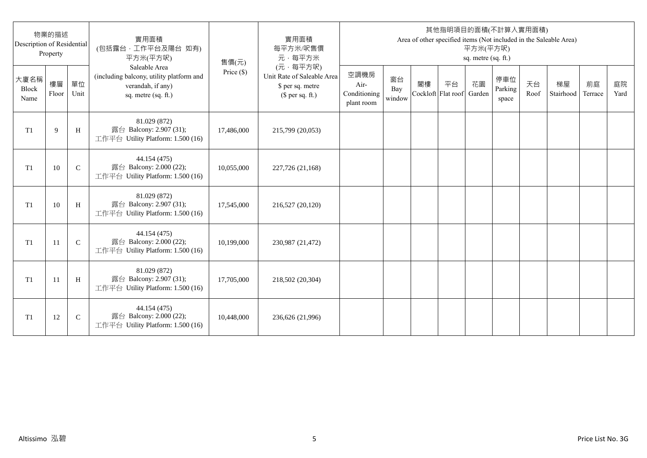| Description of Residential | 物業的描述<br>Property |              | 實用面積<br>(包括露台,工作平台及陽台 如有)<br>平方米(平方呎)                                                                 | 售價(元)      | 實用面積<br>每平方米/呎售價<br>元·每平方米                                                     |                                            |                     |    |                          | 平方米(平方呎)<br>sq. metre (sq. ft.) | 其他指明項目的面積(不計算入實用面積)     |            | Area of other specified items (Not included in the Saleable Area) |               |            |
|----------------------------|-------------------|--------------|-------------------------------------------------------------------------------------------------------|------------|--------------------------------------------------------------------------------|--------------------------------------------|---------------------|----|--------------------------|---------------------------------|-------------------------|------------|-------------------------------------------------------------------|---------------|------------|
| 大廈名稱<br>Block<br>Name      | 樓層<br>Floor       | 單位<br>Unit   | Saleable Area<br>(including balcony, utility platform and<br>verandah, if any)<br>sq. metre (sq. ft.) | Price (\$) | (元·每平方呎)<br>Unit Rate of Saleable Area<br>\$ per sq. metre<br>$$$ per sq. ft.) | 空調機房<br>Air-<br>Conditioning<br>plant room | 窗台<br>Bay<br>window | 閣樓 | 平台<br>Cockloft Flat roof | 花園<br>Garden                    | 停車位<br>Parking<br>space | 天台<br>Roof | 梯屋<br>Stairhood                                                   | 前庭<br>Terrace | 庭院<br>Yard |
| T <sub>1</sub>             | 9                 | H            | 81.029 (872)<br>露台 Balcony: 2.907 (31);<br>工作平台 Utility Platform: 1.500 (16)                          | 17,486,000 | 215,799 (20,053)                                                               |                                            |                     |    |                          |                                 |                         |            |                                                                   |               |            |
| T <sub>1</sub>             | 10                | $\mathsf{C}$ | 44.154 (475)<br>露台 Balcony: 2.000 (22);<br>工作平台 Utility Platform: 1.500 (16)                          | 10,055,000 | 227,726 (21,168)                                                               |                                            |                     |    |                          |                                 |                         |            |                                                                   |               |            |
| T1                         | 10                | H            | 81.029 (872)<br>露台 Balcony: 2.907 (31);<br>工作平台 Utility Platform: 1.500 (16)                          | 17,545,000 | 216,527 (20,120)                                                               |                                            |                     |    |                          |                                 |                         |            |                                                                   |               |            |
| T1                         | 11                | $\mathbf C$  | 44.154 (475)<br>露台 Balcony: 2.000 (22);<br>工作平台 Utility Platform: 1.500 (16)                          | 10,199,000 | 230,987 (21,472)                                                               |                                            |                     |    |                          |                                 |                         |            |                                                                   |               |            |
| T1                         | -11               | H            | 81.029 (872)<br>露台 Balcony: 2.907 (31);<br>工作平台 Utility Platform: 1.500 (16)                          | 17,705,000 | 218,502 (20,304)                                                               |                                            |                     |    |                          |                                 |                         |            |                                                                   |               |            |
| T <sub>1</sub>             | 12                | $\mathsf{C}$ | 44.154 (475)<br>露台 Balcony: 2.000 (22);<br>工作平台 Utility Platform: 1.500 (16)                          | 10,448,000 | 236,626 (21,996)                                                               |                                            |                     |    |                          |                                 |                         |            |                                                                   |               |            |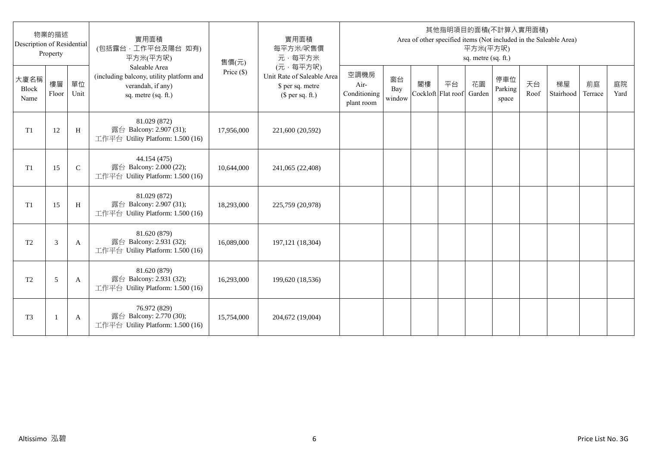| Description of Residential | 物業的描述<br>Property |              | 實用面積<br>(包括露台,工作平台及陽台 如有)<br>平方米(平方呎)                                                                 | 售價(元)      | 實用面積<br>每平方米/呎售價<br>元·每平方米                                                     |                                            |                     |                          |    | 平方米(平方呎)<br>sq. metre (sq. ft.) | 其他指明項目的面積(不計算入實用面積)     |            | Area of other specified items (Not included in the Saleable Area) |               |            |
|----------------------------|-------------------|--------------|-------------------------------------------------------------------------------------------------------|------------|--------------------------------------------------------------------------------|--------------------------------------------|---------------------|--------------------------|----|---------------------------------|-------------------------|------------|-------------------------------------------------------------------|---------------|------------|
| 大廈名稱<br>Block<br>Name      | 樓層<br>Floor       | 單位<br>Unit   | Saleable Area<br>(including balcony, utility platform and<br>verandah, if any)<br>sq. metre (sq. ft.) | Price (\$) | (元·每平方呎)<br>Unit Rate of Saleable Area<br>\$ per sq. metre<br>$$$ per sq. ft.) | 空調機房<br>Air-<br>Conditioning<br>plant room | 窗台<br>Bay<br>window | 閣樓<br>Cockloft Flat roof | 平台 | 花園<br>Garden                    | 停車位<br>Parking<br>space | 天台<br>Roof | 梯屋<br>Stairhood                                                   | 前庭<br>Terrace | 庭院<br>Yard |
| T1                         | 12                | H            | 81.029 (872)<br>露台 Balcony: 2.907 (31);<br>工作平台 Utility Platform: 1.500 (16)                          | 17,956,000 | 221,600 (20,592)                                                               |                                            |                     |                          |    |                                 |                         |            |                                                                   |               |            |
| T1                         | 15                | $\mathsf{C}$ | 44.154 (475)<br>露台 Balcony: 2.000 (22);<br>工作平台 Utility Platform: 1.500 (16)                          | 10,644,000 | 241,065 (22,408)                                                               |                                            |                     |                          |    |                                 |                         |            |                                                                   |               |            |
| T1                         | 15                | H            | 81.029 (872)<br>露台 Balcony: 2.907 (31);<br>工作平台 Utility Platform: 1.500 (16)                          | 18,293,000 | 225,759 (20,978)                                                               |                                            |                     |                          |    |                                 |                         |            |                                                                   |               |            |
| T <sub>2</sub>             | 3                 | A            | 81.620 (879)<br>露台 Balcony: 2.931 (32);<br>工作平台 Utility Platform: 1.500 (16)                          | 16,089,000 | 197, 121 (18, 304)                                                             |                                            |                     |                          |    |                                 |                         |            |                                                                   |               |            |
| T <sub>2</sub>             | 5                 | A            | 81.620 (879)<br>露台 Balcony: 2.931 (32);<br>工作平台 Utility Platform: 1.500 (16)                          | 16,293,000 | 199,620 (18,536)                                                               |                                            |                     |                          |    |                                 |                         |            |                                                                   |               |            |
| T <sub>3</sub>             |                   | A            | 76.972 (829)<br>露台 Balcony: 2.770 (30);<br>工作平台 Utility Platform: 1.500 (16)                          | 15,754,000 | 204,672 (19,004)                                                               |                                            |                     |                          |    |                                 |                         |            |                                                                   |               |            |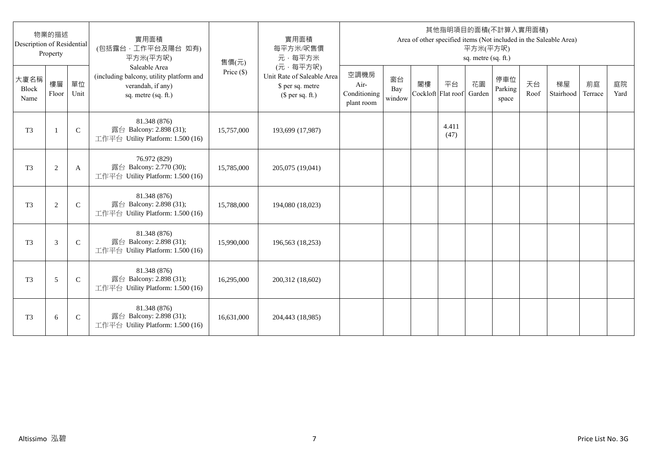| Description of Residential | 物業的描述<br>Property |               | 實用面積<br>(包括露台,工作平台及陽台 如有)<br>平方米(平方呎)                                                                 | 售價(元)      | 實用面積<br>每平方米/呎售價<br>元·每平方米                                                     |                                            |                     |                          |               | 平方米(平方呎)<br>sq. metre (sq. ft.) | 其他指明項目的面積(不計算入實用面積)     |            | Area of other specified items (Not included in the Saleable Area) |               |            |
|----------------------------|-------------------|---------------|-------------------------------------------------------------------------------------------------------|------------|--------------------------------------------------------------------------------|--------------------------------------------|---------------------|--------------------------|---------------|---------------------------------|-------------------------|------------|-------------------------------------------------------------------|---------------|------------|
| 大廈名稱<br>Block<br>Name      | 樓層<br>Floor       | 單位<br>Unit    | Saleable Area<br>(including balcony, utility platform and<br>verandah, if any)<br>sq. metre (sq. ft.) | Price (\$) | (元·每平方呎)<br>Unit Rate of Saleable Area<br>\$ per sq. metre<br>$$$ per sq. ft.) | 空調機房<br>Air-<br>Conditioning<br>plant room | 窗台<br>Bay<br>window | 閣樓<br>Cockloft Flat roof | 平台            | 花園<br>Garden                    | 停車位<br>Parking<br>space | 天台<br>Roof | 梯屋<br>Stairhood                                                   | 前庭<br>Terrace | 庭院<br>Yard |
| T <sub>3</sub>             | $\mathbf{1}$      | $\mathsf{C}$  | 81.348 (876)<br>露台 Balcony: 2.898 (31);<br>工作平台 Utility Platform: 1.500 (16)                          | 15,757,000 | 193,699 (17,987)                                                               |                                            |                     |                          | 4.411<br>(47) |                                 |                         |            |                                                                   |               |            |
| T <sub>3</sub>             | $\sqrt{2}$        | A             | 76.972 (829)<br>露台 Balcony: 2.770 (30);<br>工作平台 Utility Platform: 1.500 (16)                          | 15,785,000 | 205,075 (19,041)                                                               |                                            |                     |                          |               |                                 |                         |            |                                                                   |               |            |
| T <sub>3</sub>             | 2                 | $\mathcal{C}$ | 81.348 (876)<br>露台 Balcony: 2.898 (31);<br>工作平台 Utility Platform: 1.500 (16)                          | 15,788,000 | 194,080 (18,023)                                                               |                                            |                     |                          |               |                                 |                         |            |                                                                   |               |            |
| T <sub>3</sub>             | 3                 | $\mathcal{C}$ | 81.348 (876)<br>露台 Balcony: 2.898 (31);<br>工作平台 Utility Platform: 1.500 (16)                          | 15,990,000 | 196,563 (18,253)                                                               |                                            |                     |                          |               |                                 |                         |            |                                                                   |               |            |
| T <sub>3</sub>             | 5                 | $\mathsf{C}$  | 81.348 (876)<br>露台 Balcony: 2.898 (31);<br>工作平台 Utility Platform: 1.500 (16)                          | 16,295,000 | 200,312 (18,602)                                                               |                                            |                     |                          |               |                                 |                         |            |                                                                   |               |            |
| T <sub>3</sub>             | 6                 | $\mathsf{C}$  | 81.348 (876)<br>露台 Balcony: 2.898 (31);<br>工作平台 Utility Platform: 1.500 (16)                          | 16,631,000 | 204,443 (18,985)                                                               |                                            |                     |                          |               |                                 |                         |            |                                                                   |               |            |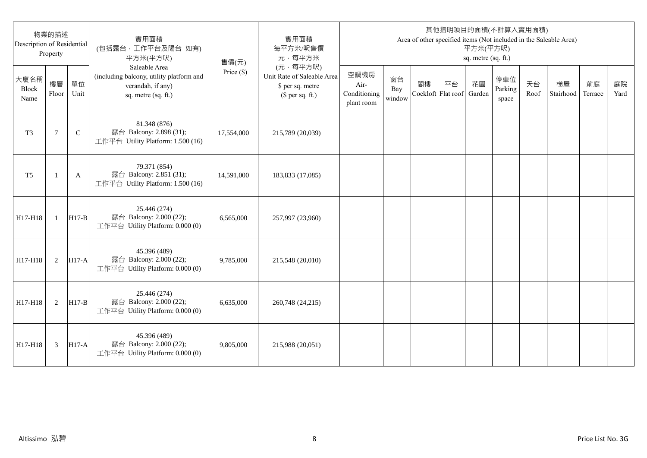| Description of Residential | 物業的描述<br>Property |              | 實用面積<br>(包括露台,工作平台及陽台 如有)<br>平方米(平方呎)                                                                 | 售價(元)        | 實用面積<br>每平方米/呎售價<br>元·每平方米                                                     |                                            |                     |                          |    | 平方米(平方呎)<br>sq. metre (sq. ft.) | 其他指明項目的面積(不計算入實用面積)     |            | Area of other specified items (Not included in the Saleable Area) |               |            |
|----------------------------|-------------------|--------------|-------------------------------------------------------------------------------------------------------|--------------|--------------------------------------------------------------------------------|--------------------------------------------|---------------------|--------------------------|----|---------------------------------|-------------------------|------------|-------------------------------------------------------------------|---------------|------------|
| 大廈名稱<br>Block<br>Name      | 樓層<br>Floor       | 單位<br>Unit   | Saleable Area<br>(including balcony, utility platform and<br>verandah, if any)<br>sq. metre (sq. ft.) | Price $(\$)$ | (元·每平方呎)<br>Unit Rate of Saleable Area<br>\$ per sq. metre<br>$$$ per sq. ft.) | 空調機房<br>Air-<br>Conditioning<br>plant room | 窗台<br>Bay<br>window | 閣樓<br>Cockloft Flat roof | 平台 | 花園<br>Garden                    | 停車位<br>Parking<br>space | 天台<br>Roof | 梯屋<br>Stairhood                                                   | 前庭<br>Terrace | 庭院<br>Yard |
| T <sub>3</sub>             | 7                 | $\mathsf{C}$ | 81.348 (876)<br>露台 Balcony: 2.898 (31);<br>工作平台 Utility Platform: 1.500 (16)                          | 17,554,000   | 215,789 (20,039)                                                               |                                            |                     |                          |    |                                 |                         |            |                                                                   |               |            |
| T <sub>5</sub>             | -1                | A            | 79.371 (854)<br>露台 Balcony: 2.851 (31);<br>工作平台 Utility Platform: 1.500 (16)                          | 14,591,000   | 183,833 (17,085)                                                               |                                            |                     |                          |    |                                 |                         |            |                                                                   |               |            |
| H17-H18                    | $\mathbf{1}$      | $H17-B$      | 25.446 (274)<br>露台 Balcony: 2.000 (22);<br>工作平台 Utility Platform: 0.000 (0)                           | 6,565,000    | 257,997 (23,960)                                                               |                                            |                     |                          |    |                                 |                         |            |                                                                   |               |            |
| H17-H18                    | 2                 | $H17-A$      | 45.396 (489)<br>露台 Balcony: 2.000 (22);<br>工作平台 Utility Platform: 0.000 (0)                           | 9,785,000    | 215,548 (20,010)                                                               |                                            |                     |                          |    |                                 |                         |            |                                                                   |               |            |
| H17-H18                    | 2                 | $H17-B$      | 25.446 (274)<br>露台 Balcony: 2.000 (22);<br>工作平台 Utility Platform: 0.000 (0)                           | 6,635,000    | 260,748 (24,215)                                                               |                                            |                     |                          |    |                                 |                         |            |                                                                   |               |            |
| H17-H18                    | 3                 | $H17-A$      | 45.396 (489)<br>露台 Balcony: 2.000 (22);<br>工作平台 Utility Platform: 0.000 (0)                           | 9,805,000    | 215,988 (20,051)                                                               |                                            |                     |                          |    |                                 |                         |            |                                                                   |               |            |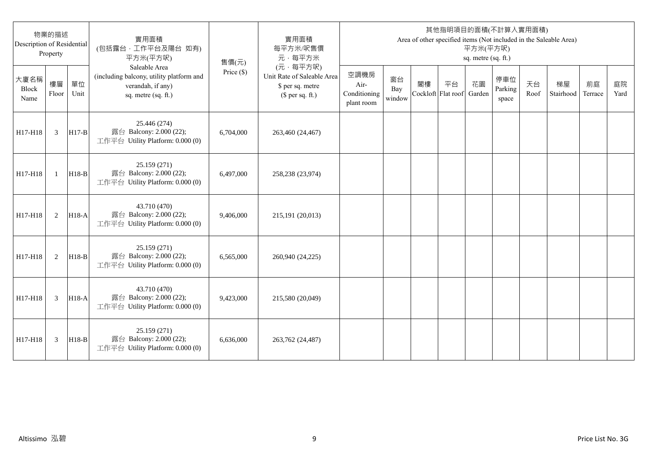| Description of Residential | 物業的描述<br>Property |            | 實用面積<br>(包括露台,工作平台及陽台 如有)<br>平方米(平方呎)                                                                 | 售價(元)        | 實用面積<br>每平方米/呎售價<br>元·每平方米                                                     |                                            |                     |                          |    | 平方米(平方呎)<br>sq. metre (sq. ft.) | 其他指明項目的面積(不計算入實用面積)     |            | Area of other specified items (Not included in the Saleable Area) |               |            |
|----------------------------|-------------------|------------|-------------------------------------------------------------------------------------------------------|--------------|--------------------------------------------------------------------------------|--------------------------------------------|---------------------|--------------------------|----|---------------------------------|-------------------------|------------|-------------------------------------------------------------------|---------------|------------|
| 大廈名稱<br>Block<br>Name      | 樓層<br>Floor       | 單位<br>Unit | Saleable Area<br>(including balcony, utility platform and<br>verandah, if any)<br>sq. metre (sq. ft.) | Price $(\$)$ | (元·每平方呎)<br>Unit Rate of Saleable Area<br>\$ per sq. metre<br>$$$ per sq. ft.) | 空調機房<br>Air-<br>Conditioning<br>plant room | 窗台<br>Bay<br>window | 閣樓<br>Cockloft Flat roof | 平台 | 花園<br>Garden                    | 停車位<br>Parking<br>space | 天台<br>Roof | 梯屋<br>Stairhood                                                   | 前庭<br>Terrace | 庭院<br>Yard |
| H17-H18                    | 3                 | $H17-B$    | 25.446 (274)<br>露台 Balcony: 2.000 (22);<br>工作平台 Utility Platform: 0.000 (0)                           | 6,704,000    | 263,460 (24,467)                                                               |                                            |                     |                          |    |                                 |                         |            |                                                                   |               |            |
| H17-H18                    | $\mathbf{1}$      | $H18-B$    | 25.159 (271)<br>露台 Balcony: 2.000 (22);<br>工作平台 Utility Platform: 0.000 (0)                           | 6.497,000    | 258,238 (23,974)                                                               |                                            |                     |                          |    |                                 |                         |            |                                                                   |               |            |
| H17-H18                    | 2                 | $H18-A$    | 43.710 (470)<br>露台 Balcony: 2.000 (22);<br>工作平台 Utility Platform: 0.000 (0)                           | 9,406,000    | 215,191 (20,013)                                                               |                                            |                     |                          |    |                                 |                         |            |                                                                   |               |            |
| H17-H18                    | 2                 | $H18-B$    | 25.159 (271)<br>露台 Balcony: 2.000 (22);<br>工作平台 Utility Platform: 0.000 (0)                           | 6,565,000    | 260,940 (24,225)                                                               |                                            |                     |                          |    |                                 |                         |            |                                                                   |               |            |
| H17-H18                    | 3                 | H18-A      | 43.710 (470)<br>露台 Balcony: 2.000 (22);<br>工作平台 Utility Platform: 0.000 (0)                           | 9,423,000    | 215,580 (20,049)                                                               |                                            |                     |                          |    |                                 |                         |            |                                                                   |               |            |
| H17-H18                    | 3                 | $H18-B$    | 25.159 (271)<br>露台 Balcony: 2.000 (22);<br>工作平台 Utility Platform: 0.000 (0)                           | 6.636,000    | 263,762 (24,487)                                                               |                                            |                     |                          |    |                                 |                         |            |                                                                   |               |            |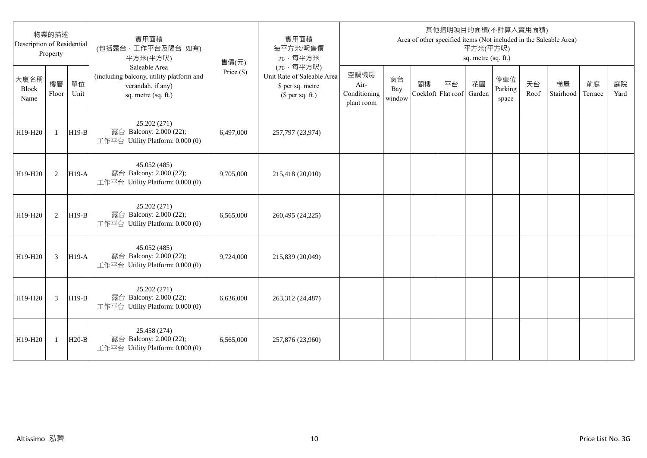| Description of Residential | 物業的描述<br>Property |            | 實用面積<br>(包括露台,工作平台及陽台 如有)<br>平方米(平方呎)                                                                 | 售價(元)      | 實用面積<br>每平方米/呎售價<br>元·每平方米                                                     |                                            |                     |                          |    | 平方米(平方呎)<br>sq. metre (sq. ft.) | 其他指明項目的面積(不計算入實用面積)     |            | Area of other specified items (Not included in the Saleable Area) |               |            |
|----------------------------|-------------------|------------|-------------------------------------------------------------------------------------------------------|------------|--------------------------------------------------------------------------------|--------------------------------------------|---------------------|--------------------------|----|---------------------------------|-------------------------|------------|-------------------------------------------------------------------|---------------|------------|
| 大廈名稱<br>Block<br>Name      | 樓層<br>Floor       | 單位<br>Unit | Saleable Area<br>(including balcony, utility platform and<br>verandah, if any)<br>sq. metre (sq. ft.) | Price (\$) | (元·每平方呎)<br>Unit Rate of Saleable Area<br>\$ per sq. metre<br>$$$ per sq. ft.) | 空調機房<br>Air-<br>Conditioning<br>plant room | 窗台<br>Bay<br>window | 閣樓<br>Cockloft Flat roof | 平台 | 花園<br>Garden                    | 停車位<br>Parking<br>space | 天台<br>Roof | 梯屋<br>Stairhood                                                   | 前庭<br>Terrace | 庭院<br>Yard |
| H19-H20                    | $\mathbf{1}$      | $H19-B$    | 25.202 (271)<br>露台 Balcony: 2.000 (22);<br>工作平台 Utility Platform: 0.000 (0)                           | 6,497,000  | 257,797 (23,974)                                                               |                                            |                     |                          |    |                                 |                         |            |                                                                   |               |            |
| H19-H20                    | 2                 | $H19-A$    | 45.052 (485)<br>露台 Balcony: 2.000 (22);<br>工作平台 Utility Platform: 0.000 (0)                           | 9,705,000  | 215,418 (20,010)                                                               |                                            |                     |                          |    |                                 |                         |            |                                                                   |               |            |
| H19-H20                    | 2                 | $H19-B$    | 25.202 (271)<br>露台 Balcony: 2.000 (22);<br>工作平台 Utility Platform: 0.000 (0)                           | 6,565,000  | 260,495 (24,225)                                                               |                                            |                     |                          |    |                                 |                         |            |                                                                   |               |            |
| H19-H20                    | 3                 | $H19-A$    | 45.052 (485)<br>露台 Balcony: 2.000 (22);<br>工作平台 Utility Platform: 0.000 (0)                           | 9,724,000  | 215,839 (20,049)                                                               |                                            |                     |                          |    |                                 |                         |            |                                                                   |               |            |
| H19-H20                    | 3                 | $H19-B$    | 25.202 (271)<br>露台 Balcony: 2.000 (22);<br>工作平台 Utility Platform: 0.000 (0)                           | 6,636,000  | 263,312 (24,487)                                                               |                                            |                     |                          |    |                                 |                         |            |                                                                   |               |            |
| H19-H20                    | 1                 | $H20-B$    | 25.458 (274)<br>露台 Balcony: 2.000 (22);<br>工作平台 Utility Platform: 0.000 (0)                           | 6,565,000  | 257,876 (23,960)                                                               |                                            |                     |                          |    |                                 |                         |            |                                                                   |               |            |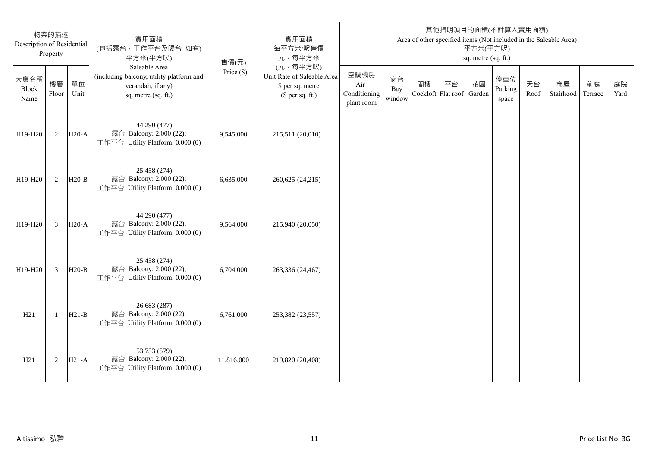| 物業的描述<br>Description of Residential<br>Property |                |            | 實用面積<br>(包括露台,工作平台及陽台 如有)<br>平方米(平方呎)                                                                 | 售價(元)        | 實用面積<br>每平方米/呎售價<br>元·每平方米                                                     | 其他指明項目的面積(不計算入實用面積)<br>Area of other specified items (Not included in the Saleable Area)<br>平方米(平方呎)<br>sq. metre (sq. ft.) |                     |                          |    |              |                         |            |                 |               |            |
|-------------------------------------------------|----------------|------------|-------------------------------------------------------------------------------------------------------|--------------|--------------------------------------------------------------------------------|-----------------------------------------------------------------------------------------------------------------------------|---------------------|--------------------------|----|--------------|-------------------------|------------|-----------------|---------------|------------|
| 大廈名稱<br>Block<br>Name                           | 樓層<br>Floor    | 單位<br>Unit | Saleable Area<br>(including balcony, utility platform and<br>verandah, if any)<br>sq. metre (sq. ft.) | Price $(\$)$ | (元·每平方呎)<br>Unit Rate of Saleable Area<br>\$ per sq. metre<br>$$$ per sq. ft.) | 空調機房<br>Air-<br>Conditioning<br>plant room                                                                                  | 窗台<br>Bay<br>window | 閣樓<br>Cockloft Flat roof | 平台 | 花園<br>Garden | 停車位<br>Parking<br>space | 天台<br>Roof | 梯屋<br>Stairhood | 前庭<br>Terrace | 庭院<br>Yard |
| H19-H20                                         | 2              | $H20-A$    | 44.290 (477)<br>露台 Balcony: 2.000 (22);<br>工作平台 Utility Platform: 0.000 (0)                           | 9,545,000    | 215,511 (20,010)                                                               |                                                                                                                             |                     |                          |    |              |                         |            |                 |               |            |
| H19-H20                                         | 2              | $H20-B$    | 25.458 (274)<br>露台 Balcony: 2.000 (22);<br>工作平台 Utility Platform: 0.000 (0)                           | 6,635,000    | 260,625 (24,215)                                                               |                                                                                                                             |                     |                          |    |              |                         |            |                 |               |            |
| H19-H20                                         | 3              | $H20-A$    | 44.290 (477)<br>露台 Balcony: 2.000 (22);<br>工作平台 Utility Platform: 0.000 (0)                           | 9,564,000    | 215,940 (20,050)                                                               |                                                                                                                             |                     |                          |    |              |                         |            |                 |               |            |
| H19-H20                                         | $\overline{3}$ | $H20-B$    | 25.458 (274)<br>露台 Balcony: 2.000 (22);<br>工作平台 Utility Platform: 0.000 (0)                           | 6,704,000    | 263,336 (24,467)                                                               |                                                                                                                             |                     |                          |    |              |                         |            |                 |               |            |
| H21                                             | -1             | $H21-B$    | 26.683 (287)<br>露台 Balcony: 2.000 (22);<br>工作平台 Utility Platform: 0.000 (0)                           | 6,761,000    | 253,382 (23,557)                                                               |                                                                                                                             |                     |                          |    |              |                         |            |                 |               |            |
| H21                                             | $\overline{2}$ | $H21-A$    | 53.753 (579)<br>露台 Balcony: 2.000 (22);<br>工作平台 Utility Platform: 0.000 (0)                           | 11,816,000   | 219,820 (20,408)                                                               |                                                                                                                             |                     |                          |    |              |                         |            |                 |               |            |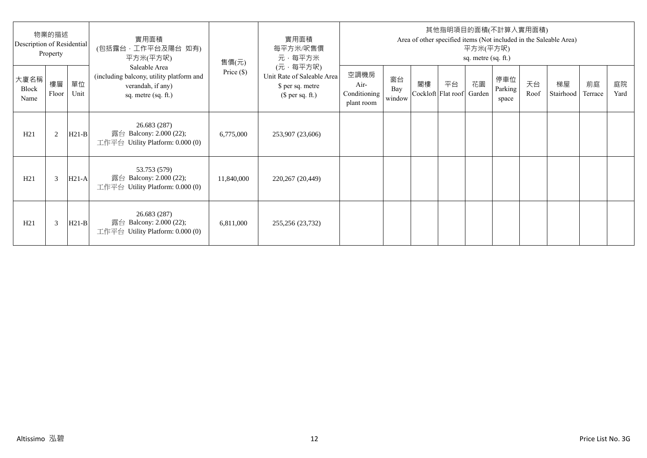| 物業的描述<br>Description of Residential<br>Property |             |            | 實用面積<br>(包括露台·工作平台及陽台 如有)<br>平方米(平方呎)                                                                 | 售價(元)        | 實用面積<br>每平方米/呎售價<br>元·每平方米                                                     | 其他指明項目的面積(不計算入實用面積)<br>Area of other specified items (Not included in the Saleable Area)<br>平方米(平方呎)<br>sq. metre (sq. ft.) |                     |    |                                 |    |                         |            |                 |               |            |
|-------------------------------------------------|-------------|------------|-------------------------------------------------------------------------------------------------------|--------------|--------------------------------------------------------------------------------|-----------------------------------------------------------------------------------------------------------------------------|---------------------|----|---------------------------------|----|-------------------------|------------|-----------------|---------------|------------|
| 大廈名稱<br>Block<br>Name                           | 樓層<br>Floor | 單位<br>Unit | Saleable Area<br>(including balcony, utility platform and<br>verandah, if any)<br>sq. metre (sq. ft.) | Price $(\$)$ | (元·每平方呎)<br>Unit Rate of Saleable Area<br>\$ per sq. metre<br>$$$ per sq. ft.) | 空調機房<br>Air-<br>Conditioning<br>plant room                                                                                  | 窗台<br>Bay<br>window | 閣樓 | 平台<br>Cockloft Flat roof Garden | 花園 | 停車位<br>Parking<br>space | 天台<br>Roof | 梯屋<br>Stairhood | 前庭<br>Terrace | 庭院<br>Yard |
| H21                                             | 2           | $H21-B$    | 26.683 (287)<br>露台 Balcony: 2.000 (22);<br>工作平台 Utility Platform: $0.000(0)$                          | 6,775,000    | 253,907 (23,606)                                                               |                                                                                                                             |                     |    |                                 |    |                         |            |                 |               |            |
| H21                                             | 3           | $H21-A$    | 53.753 (579)<br>露台 Balcony: 2.000 (22);<br>工作平台 Utility Platform: 0.000 (0)                           | 11,840,000   | 220,267 (20,449)                                                               |                                                                                                                             |                     |    |                                 |    |                         |            |                 |               |            |
| H21                                             | 3           | $H21-B$    | 26.683 (287)<br>露台 Balcony: 2.000 (22);<br>工作平台 Utility Platform: $0.000(0)$                          | 6,811,000    | 255,256 (23,732)                                                               |                                                                                                                             |                     |    |                                 |    |                         |            |                 |               |            |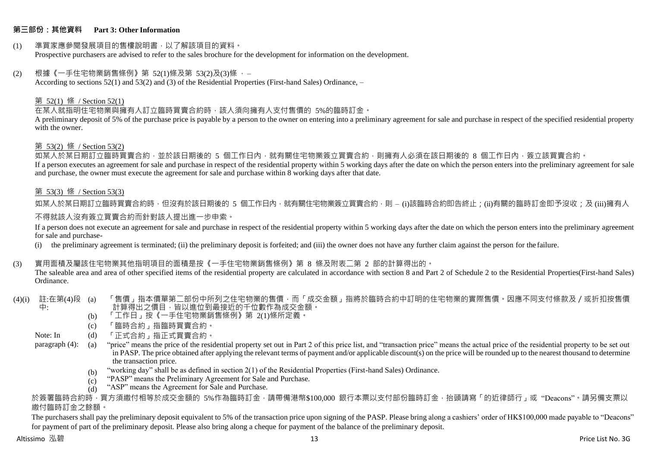#### **第三部份:其他資料 Part 3: Other Information**

#### (1) 準買家應參閱發展項目的售樓說明書,以了解該項目的資料。 Prospective purchasers are advised to refer to the sales brochure for the development for information on the development.

#### $(2)$  根據《一手住宅物業銷售條例》第 52(1)條及第 53(2)及(3)條,

According to sections 52(1) and 53(2) and (3) of the Residential Properties (First-hand Sales) Ordinance, –

#### 第 52(1) 條 / Section 52(1)

在某人就指明住宅物業與擁有人訂立臨時買賣合約時,該人須向擁有人支付售價的 5%的臨時訂金。

A preliminary deposit of 5% of the purchase price is payable by a person to the owner on entering into a preliminary agreement for sale and purchase in respect of the specified residential property with the owner.

#### 第 53(2) 條 / Section 53(2)

————————————————————<br>如某人於某日期訂立臨時買賣合約,並於該日期後的 5 個工作日內,就有關住宅物業簽立買賣合約,則擁有人必須在該日期後的 8 個工作日內,簽立該買賣合約。 If a person executes an agreement for sale and purchase in respect of the residential property within 5 working days after the date on which the person enters into the preliminary agreement for sale and purchase, the owner must execute the agreement for sale and purchase within 8 working days after that date.

### 第 53(3) 條 / Section 53(3)

如某人於某日期訂立臨時買賣合約時,但沒有於該日期後的 5 個工作日內,就有關住宅物業簽立買賣合約,則 – (i)該臨時合約即告終止;(ji)有關的臨時訂金即予沒收;及 (iii)擁有人

#### 不得就該人沒有簽立買賣合約而針對該人提出進一步申索。

If a person does not execute an agreement for sale and purchase in respect of the residential property within 5 working days after the date on which the person enters into the preliminary agreement for sale and purchase-

(i) the preliminary agreement is terminated; (ii) the preliminary deposit is forfeited; and (iii) the owner does not have any further claim against the person for the failure.

#### (3) 實用面積及屬該住宅物業其他指明項目的面積是按《一手住宅物業銷售條例》第 8 條及附表二第 2 部的計算得出的。

The saleable area and area of other specified items of the residential property are calculated in accordance with section 8 and Part 2 of Schedule 2 to the Residential Properties(First-hand Sales) Ordinance.

#### (4)(i) 註:在第(4)段 中: 「售價」指本價單第二部份中所列之住宅物業的售價,而「成交金額」指將於臨時合約中訂明的住宅物業的實際售價。因應不同支付條款及/或折扣按售價 計算得出之價目,皆以進位到最接近的千位數作為成交金額。

- (b) 「工作日」按《一手住宅物業銷售條例》第 2(1)條所定義。
- (c) 「臨時合約」指臨時買賣合約。
- Note: In (d) 「正式合約」指正式買賣合約。

paragraph (4): (a) "price" means the price of the residential property set out in Part 2 of this price list, and "transaction price" means the actual price of the residential property to be set out in PASP. The price obtained after applying the relevant terms of payment and/or applicable discount(s) on the price will be rounded up to the nearest thousand to determine the transaction price.

- (b) "working day" shall be as defined in section 2(1) of the Residential Properties (First-hand Sales) Ordinance.
- $(c)$ "PASP" means the Preliminary Agreement for Sale and Purchase.
- $(d)$ "ASP" means the Agreement for Sale and Purchase.

於簽署臨時合約時,買方須繳付相等於成交金額的 5%作為臨時訂金,請帶備港幣\$100,000 銀行本票以支付部份臨時訂金,抬頭請寫「的近律師行」或"Deacons"。請另備支票以 繳付臨時訂金之餘額。

The purchasers shall pay the preliminary deposit equivalent to 5% of the transaction price upon signing of the PASP. Please bring along a cashiers' order of HK\$100,000 made payable to "Deacons" for payment of part of the preliminary deposit. Please also bring along a cheque for payment of the balance of the preliminary deposit.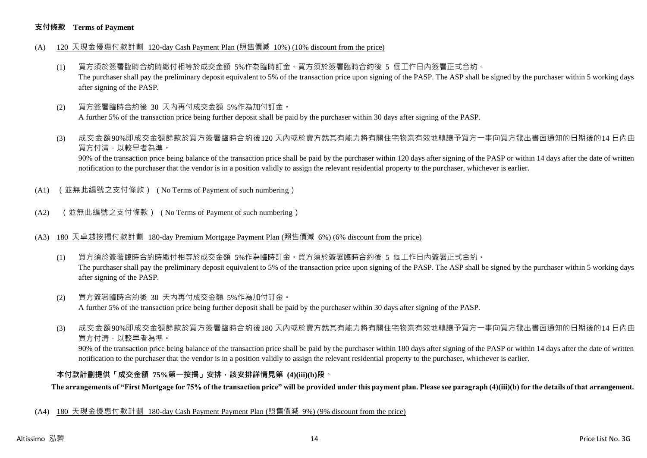#### **支付條款 Terms of Payment**

- (A) 120 天現金優惠付款計劃 120-day Cash Payment Plan (照售價減 10%) (10% discount from the price)
	- (1) 買方須於簽署臨時合約時繳付相等於成交金額 5%作為臨時訂金。買方須於簽署臨時合約後 5 個工作日內簽署正式合約。 The purchaser shall pay the preliminary deposit equivalent to 5% of the transaction price upon signing of the PASP. The ASP shall be signed by the purchaser within 5 working days after signing of the PASP.
	- (2) 買方簽署臨時合約後 30 天內再付成交金額 5%作為加付訂金。 A further 5% of the transaction price being further deposit shall be paid by the purchaser within 30 days after signing of the PASP.
	- (3) 成交金額90%即成交金額餘款於買方簽署臨時合約後120 天內或於賣方就其有能力將有關住宅物業有效地轉讓予買方一事向買方發出書面通知的日期後的14 日內由 買方付清,以較早者為準。

90% of the transaction price being balance of the transaction price shall be paid by the purchaser within 120 days after signing of the PASP or within 14 days after the date of written notification to the purchaser that the vendor is in a position validly to assign the relevant residential property to the purchaser, whichever is earlier.

- (A1) (並無此編號之支付條款) ( No Terms of Payment of such numbering)
- (A2) (並無此編號之支付條款) ( No Terms of Payment of such numbering)
- (A3) 180 天卓越按揭付款計劃 180-day Premium Mortgage Payment Plan (照售價減 6%) (6% discount from the price)
	- (1) 買方須於簽署臨時合約時繳付相等於成交金額 5%作為臨時訂金。買方須於簽署臨時合約後 5 個工作日內簽署正式合約。 The purchaser shall pay the preliminary deposit equivalent to 5% of the transaction price upon signing of the PASP. The ASP shall be signed by the purchaser within 5 working days after signing of the PASP.
	- (2) 買方簽署臨時合約後 30 天內再付成交金額 5%作為加付訂金。 A further 5% of the transaction price being further deposit shall be paid by the purchaser within 30 days after signing of the PASP.
	- (3) 成交金額90%即成交金額餘款於買方簽署臨時合約後180 天內或於賣方就其有能力將有關住宅物業有效地轉讓予買方一事向買方發出書面通知的日期後的14 日內由 買方付清,以較早者為準。

90% of the transaction price being balance of the transaction price shall be paid by the purchaser within 180 days after signing of the PASP or within 14 days after the date of written notification to the purchaser that the vendor is in a position validly to assign the relevant residential property to the purchaser, whichever is earlier.

#### **本付款計劃提供「成交金額 75%第一按揭」安排,該安排詳情見第 (4)(iii)(b)段。**

**The arrangements of "First Mortgage for 75% of the transaction price" will be provided under this payment plan. Please see paragraph (4)(iii)(b) for the details of that arrangement.**

(A4) 180 天現金優惠付款計劃 180-day Cash Payment Payment Plan (照售價減 9%) (9% discount from the price)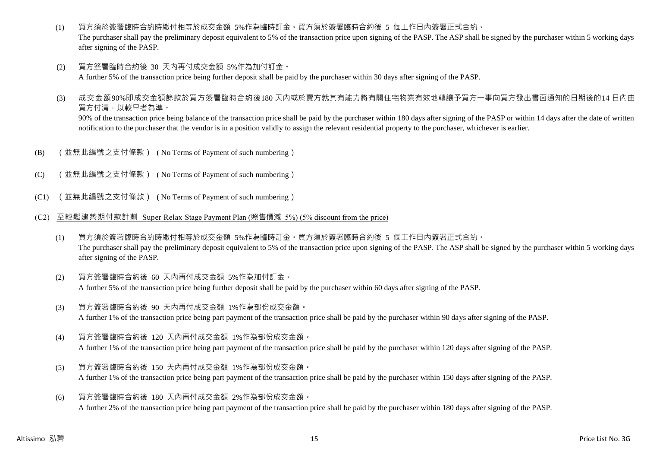- (1) 買方須於簽署臨時合約時繳付相等於成交金額 5%作為臨時訂金。買方須於簽署臨時合約後 5 個工作日內簽署正式合約。 The purchaser shall pay the preliminary deposit equivalent to 5% of the transaction price upon signing of the PASP. The ASP shall be signed by the purchaser within 5 working days after signing of the PASP.
- (2) 買方簽署臨時合約後 30 天內再付成交金額 5%作為加付訂金。 A further 5% of the transaction price being further deposit shall be paid by the purchaser within 30 days after signing of the PASP.
- (3) 成交金額90%即成交金額餘款於買方簽署臨時合約後180 天內或於賣方就其有能力將有關住宅物業有效地轉讓予買方一事向買方發出書面通知的日期後的14 日內由 買方付清,以較早者為準。 90% of the transaction price being balance of the transaction price shall be paid by the purchaser within 180 days after signing of the PASP or within 14 days after the date of written notification to the purchaser that the vendor is in a position validly to assign the relevant residential property to the purchaser, whichever is earlier.
- (B) (並無此編號之支付條款) ( No Terms of Payment of such numbering)
- (C) (並無此編號之支付條款) ( No Terms of Payment of such numbering)
- (C1) (並無此編號之支付條款) ( No Terms of Payment of such numbering)
- (C2) 至輕鬆建築期付款計劃 Super Relax Stage Payment Plan (照售價減 5%) (5% discount from the price)
	- (1) 買方須於簽署臨時合約時繳付相等於成交金額 5%作為臨時訂金。買方須於簽署臨時合約後 5 個工作日內簽署正式合約。 The purchaser shall pay the preliminary deposit equivalent to 5% of the transaction price upon signing of the PASP. The ASP shall be signed by the purchaser within 5 working days after signing of the PASP.
	- (2) 買方簽署臨時合約後 60 天內再付成交金額 5%作為加付訂金。 A further 5% of the transaction price being further deposit shall be paid by the purchaser within 60 days after signing of the PASP.
	- (3) 買方簽署臨時合約後 90 天內再付成交金額 1%作為部份成交金額。 A further 1% of the transaction price being part payment of the transaction price shall be paid by the purchaser within 90 days after signing of the PASP.
	- (4) 買方簽署臨時合約後 120 天內再付成交金額 1%作為部份成交金額。 A further 1% of the transaction price being part payment of the transaction price shall be paid by the purchaser within 120 days after signing of the PASP.
	- (5) 買方簽署臨時合約後 150 天內再付成交金額 1%作為部份成交金額。 A further 1% of the transaction price being part payment of the transaction price shall be paid by the purchaser within 150 days after signing of the PASP.
	- (6) 買方簽署臨時合約後 180 天內再付成交金額 2%作為部份成交金額。 A further 2% of the transaction price being part payment of the transaction price shall be paid by the purchaser within 180 days after signing of the PASP.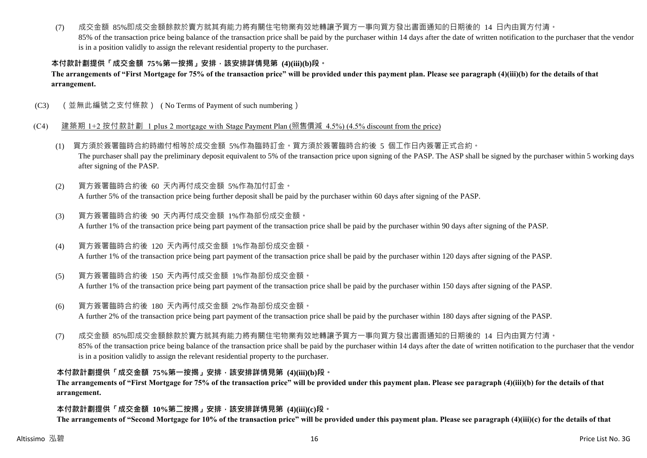#### (7) 成交金額 85%即成交金額餘款於賣方就其有能力將有關住宅物業有效地轉讓予買方一事向買方發出書面通知的日期後的 14 日內由買方付清。

85% of the transaction price being balance of the transaction price shall be paid by the purchaser within 14 days after the date of written notification to the purchaser that the vendor is in a position validly to assign the relevant residential property to the purchaser.

# **本付款計劃提供「成交金額 75%第一按揭」安排,該安排詳情見第 (4)(iii)(b)段。**

### **The arrangements of "First Mortgage for 75% of the transaction price" will be provided under this payment plan. Please see paragraph (4)(iii)(b) for the details of that arrangement.**

(C3) (並無此編號之支付條款) ( No Terms of Payment of such numbering)

### (C4) 建築期 1+2 按付款計劃 1 plus 2 mortgage with Stage Payment Plan (照售價減 4.5%) (4.5% discount from the price)

- (1) 買方須於簽署臨時合約時繳付相等於成交金額 5%作為臨時訂金。買方須於簽署臨時合約後 5 個工作日內簽署正式合約。 The purchaser shall pay the preliminary deposit equivalent to 5% of the transaction price upon signing of the PASP. The ASP shall be signed by the purchaser within 5 working days after signing of the PASP.
- (2) 買方簽署臨時合約後 60 天內再付成交金額 5%作為加付訂金。 A further 5% of the transaction price being further deposit shall be paid by the purchaser within 60 days after signing of the PASP.
- (3) 買方簽署臨時合約後 90 天內再付成交金額 1%作為部份成交金額。 A further 1% of the transaction price being part payment of the transaction price shall be paid by the purchaser within 90 days after signing of the PASP.
- (4) 買方簽署臨時合約後 120 天內再付成交金額 1%作為部份成交金額。 A further 1% of the transaction price being part payment of the transaction price shall be paid by the purchaser within 120 days after signing of the PASP.
- (5) 買方簽署臨時合約後 150 天內再付成交金額 1%作為部份成交金額。 A further 1% of the transaction price being part payment of the transaction price shall be paid by the purchaser within 150 days after signing of the PASP.
- (6) 買方簽署臨時合約後 180 天內再付成交金額 2%作為部份成交金額。 A further 2% of the transaction price being part payment of the transaction price shall be paid by the purchaser within 180 days after signing of the PASP.
- (7) 成交金額 85%即成交金額餘款於賣方就其有能力將有關住宅物業有效地轉讓予買方一事向買方發出書面通知的日期後的 14 日內由買方付清。 85% of the transaction price being balance of the transaction price shall be paid by the purchaser within 14 days after the date of written notification to the purchaser that the vendor is in a position validly to assign the relevant residential property to the purchaser.

#### **本付款計劃提供「成交金額 75%第一按揭」安排,該安排詳情見第 (4)(iii)(b)段。**

**The arrangements of "First Mortgage for 75% of the transaction price" will be provided under this payment plan. Please see paragraph (4)(iii)(b) for the details of that arrangement.**

#### **本付款計劃提供「成交金額 10%第二按揭」安排,該安排詳情見第 (4)(iii)(c)段。**

**The arrangements of "Second Mortgage for 10% of the transaction price" will be provided under this payment plan. Please see paragraph (4)(iii)(c) for the details of that**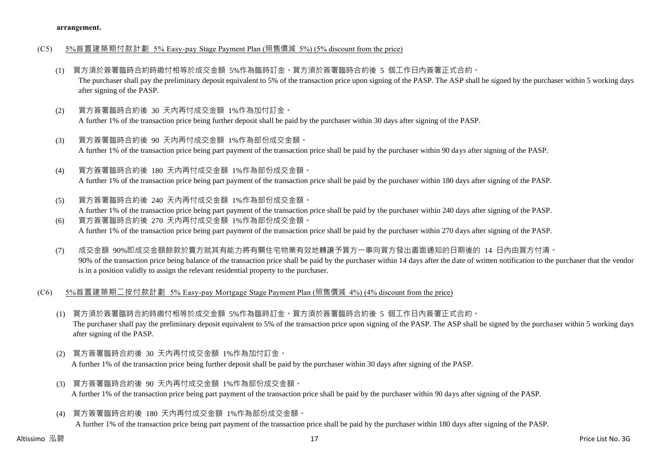#### (C5) 5%首置建築期付款計劃 5% Easy-pay Stage Payment Plan (照售價減 5%) (5% discount from the price)

- (1) 買方須於簽署臨時合約時繳付相等於成交金額 5%作為臨時訂金。買方須於簽署臨時合約後 5 個工作日內簽署正式合約。 The purchaser shall pay the preliminary deposit equivalent to 5% of the transaction price upon signing of the PASP. The ASP shall be signed by the purchaser within 5 working days after signing of the PASP.
- (2) 買方簽署臨時合約後 30 天內再付成交金額 1%作為加付訂金。 A further 1% of the transaction price being further deposit shall be paid by the purchaser within 30 days after signing of the PASP.
- (3) 買方簽署臨時合約後 90 天內再付成交金額 1%作為部份成交金額。 A further 1% of the transaction price being part payment of the transaction price shall be paid by the purchaser within 90 days after signing of the PASP.
- (4) 買方簽署臨時合約後 180 天內再付成交金額 1%作為部份成交金額。 A further 1% of the transaction price being part payment of the transaction price shall be paid by the purchaser within 180 days after signing of the PASP.
- (5) 買方簽署臨時合約後 240 天內再付成交金額 1%作為部份成交金額。 A further 1% of the transaction price being part payment of the transaction price shall be paid by the purchaser within 240 days after signing of the PASP. (6) 買方簽署臨時合約後 270 天內再付成交金額 1%作為部份成交金額。
- A further 1% of the transaction price being part payment of the transaction price shall be paid by the purchaser within 270 days after signing of the PASP.
- (7) 成交金額 90%即成交金額餘款於賣方就其有能力將有關住宅物業有效地轉讓予買方一事向買方發出書面通知的日期後的 14 日內由買方付清。 90% of the transaction price being balance of the transaction price shall be paid by the purchaser within 14 days after the date of written notification to the purchaser that the vendor is in a position validly to assign the relevant residential property to the purchaser.
- (C6) 5%首置建築期二按付款計劃 5% Easy-pay Mortgage Stage Payment Plan (照售價減 4%) (4% discount from the price)
	- (1) 買方須於簽署臨時合約時繳付相等於成交金額 5%作為臨時訂金。買方須於簽署臨時合約後 5 個工作日內簽署正式合約。 The purchaser shall pay the preliminary deposit equivalent to 5% of the transaction price upon signing of the PASP. The ASP shall be signed by the purchaser within 5 working days after signing of the PASP.
	- (2) 買方簽署臨時合約後 30 天內再付成交金額 1%作為加付訂金。 A further 1% of the transaction price being further deposit shall be paid by the purchaser within 30 days after signing of the PASP.
	- (3) 買方簽署臨時合約後 90 天內再付成交金額 1%作為部份成交金額。 A further 1% of the transaction price being part payment of the transaction price shall be paid by the purchaser within 90 days after signing of the PASP.
	- (4) 買方簽署臨時合約後 180 天內再付成交金額 1%作為部份成交金額。 A further 1% of the transaction price being part payment of the transaction price shall be paid by the purchaser within 180 days after signing of the PASP.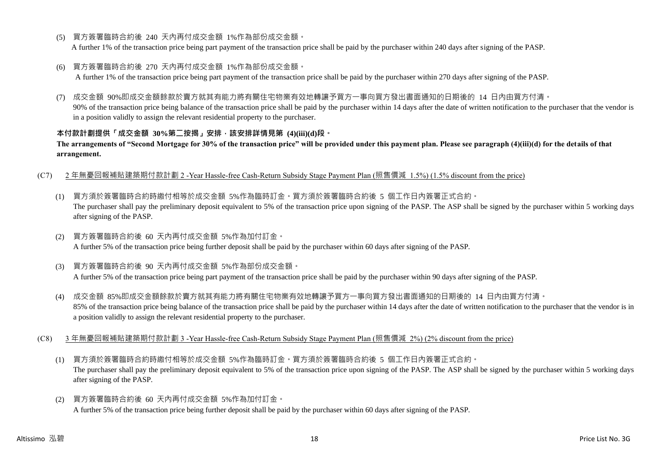(5) 買方簽署臨時合約後 240 天內再付成交金額 1%作為部份成交金額。

A further 1% of the transaction price being part payment of the transaction price shall be paid by the purchaser within 240 days after signing of the PASP.

(6) 買方簽署臨時合約後 270 天內再付成交金額 1%作為部份成交金額。

A further 1% of the transaction price being part payment of the transaction price shall be paid by the purchaser within 270 days after signing of the PASP.

(7) 成交金額 90%即成交金額餘款於賣方就其有能力將有關住宅物業有效地轉讓予買方一事向買方發出書面通知的日期後的 14 日內由買方付清。

90% of the transaction price being balance of the transaction price shall be paid by the purchaser within 14 days after the date of written notification to the purchaser that the vendor is in a position validly to assign the relevant residential property to the purchaser.

# **本付款計劃提供「成交金額 30%第二按揭」安排,該安排詳情見第 (4)(iii)(d)段。**

**The arrangements of "Second Mortgage for 30% of the transaction price" will be provided under this payment plan. Please see paragraph (4)(iii)(d) for the details of that arrangement.**

- (C7) 2 年無憂回報補貼建築期付款計劃 2 -Year Hassle-free Cash-Return Subsidy Stage Payment Plan (照售價減 1.5%) (1.5% discount from the price)
	- (1) 買方須於簽署臨時合約時繳付相等於成交金額 5%作為臨時訂金。買方須於簽署臨時合約後 5 個工作日內簽署正式合約。 The purchaser shall pay the preliminary deposit equivalent to 5% of the transaction price upon signing of the PASP. The ASP shall be signed by the purchaser within 5 working days after signing of the PASP.
	- (2) 買方簽署臨時合約後 60 天內再付成交金額 5%作為加付訂金。 A further 5% of the transaction price being further deposit shall be paid by the purchaser within 60 days after signing of the PASP.
	- (3) 買方簽署臨時合約後 90 天內再付成交金額 5%作為部份成交金額。 A further 5% of the transaction price being part payment of the transaction price shall be paid by the purchaser within 90 days after signing of the PASP.
	- (4) 成交金額 85%即成交金額餘款於賣方就其有能力將有關住宅物業有效地轉讓予買方一事向買方發出書面通知的日期後的 14 日內由買方付清。 85% of the transaction price being balance of the transaction price shall be paid by the purchaser within 14 days after the date of written notification to the purchaser that the vendor is in a position validly to assign the relevant residential property to the purchaser.
- (C8) 3 年無憂回報補貼建築期付款計劃 3 -Year Hassle-free Cash-Return Subsidy Stage Payment Plan (照售價減 2%) (2% discount from the price)
	- (1) 買方須於簽署臨時合約時繳付相等於成交金額 5%作為臨時訂金。買方須於簽署臨時合約後 5 個工作日內簽署正式合約。 The purchaser shall pay the preliminary deposit equivalent to 5% of the transaction price upon signing of the PASP. The ASP shall be signed by the purchaser within 5 working days after signing of the PASP.
	- (2) 買方簽署臨時合約後 60 天內再付成交金額 5%作為加付訂金。 A further 5% of the transaction price being further deposit shall be paid by the purchaser within 60 days after signing of the PASP.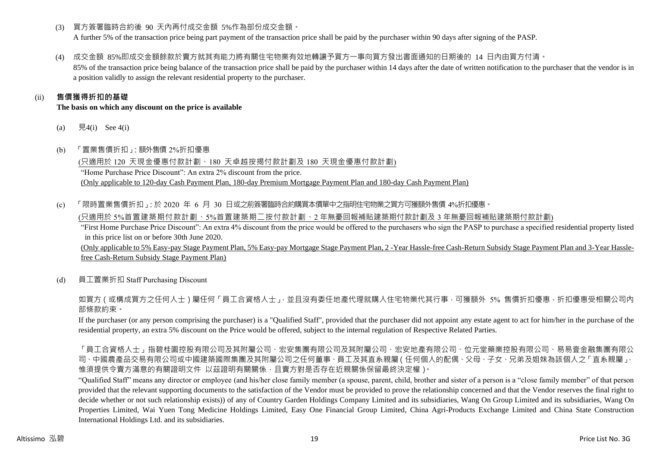(3) 買方簽署臨時合約後 90 天內再付成交金額 5%作為部份成交金額。

A further 5% of the transaction price being part payment of the transaction price shall be paid by the purchaser within 90 days after signing of the PASP.

(4) 成交金額 85%即成交金額餘款於賣方就其有能力將有關住宅物業有效地轉讓予買方一事向買方發出書面通知的日期後的 14 日內由買方付清。

85% of the transaction price being balance of the transaction price shall be paid by the purchaser within 14 days after the date of written notification to the purchaser that the vendor is in a position validly to assign the relevant residential property to the purchaser.

# (ii) **售價獲得折扣的基礎**

#### **The basis on which any discount on the price is available**

- (a)  $\quad \frac{1}{2}4(i)$  See 4(i)
- (b) 「置業售價折扣」:額外售價 2%折扣優惠

(只適用於 120 天現金優惠付款計劃、180 天卓越按揭付款計劃及 180 天現金優惠付款計劃) "Home Purchase Price Discount": An extra 2% discount from the price. (Only applicable to 120-day Cash Payment Plan, 180-day Premium Mortgage Payment Plan and 180-day Cash Payment Plan)

(c) 「限時置業售價折扣」:於 2020 年 6 月 30 日或之前簽署臨時合約購買本價單中之指明住宅物業之買方可獲額外售價 4%折扣優惠。

(只適用於 5%首置建築期付款計劃、5%首置建築期二按付款計劃、2 年無憂回報補貼建築期付款計劃及 3 年無憂回報補貼建築期付款計劃)

"First Home Purchase Price Discount": An extra 4% discount from the price would be offered to the purchasers who sign the PASP to purchase a specified residential property listed in this price list on or before 30th June 2020.

(Only applicable to 5% Easy-pay Stage Payment Plan, 5% Easy-pay Mortgage Stage Payment Plan, 2 -Year Hassle-free Cash-Return Subsidy Stage Payment Plan and 3-Year Hasslefree Cash-Return Subsidy Stage Payment Plan)

(d) 員工置業折扣 Staff Purchasing Discount

如買方(或構成買方之任何人士)屬任何「員工合資格人士」,並且沒有委任地產代理就購入住宅物業代其行事,可獲額外 5% 售價折扣優惠,折扣優惠受相關公司內 部條款約束。

If the purchaser (or any person comprising the purchaser) is a "Qualified Staff", provided that the purchaser did not appoint any estate agent to act for him/her in the purchase of the residential property, an extra 5% discount on the Price would be offered, subject to the internal regulation of Respective Related Parties.

「員工合資格人士」指碧桂園控股有限公司及其附屬公司、宏安集團有限公司及其附屬公司、宏安地產有限公司、位元堂藥業控股有限公司、易易壹金融集團有限公 司、中國農產品交易有限公司或中國建築國際集團及其附屬公司之任何董事、員工及其直系親屬(任何個人的配偶、父母、子女、兄弟及姐妹為該個人之「直系親屬」, 惟須提供令賣方滿意的有關證明文件 以茲證明有關關係,且賣方對是否存在近親關係保留最終決定權)。

"Qualified Staff" means any director or employee (and his/her close family member (a spouse, parent, child, brother and sister of a person is a "close family member" of that person provided that the relevant supporting documents to the satisfaction of the Vendor must be provided to prove the relationship concerned and that the Vendor reserves the final right to decide whether or not such relationship exists)) of any of Country Garden Holdings Company Limited and its subsidiaries, Wang On Group Limited and its subsidiaries, Wang On Properties Limited, Wai Yuen Tong Medicine Holdings Limited, Easy One Financial Group Limited, China Agri-Products Exchange Limited and China State Construction International Holdings Ltd. and its subsidiaries.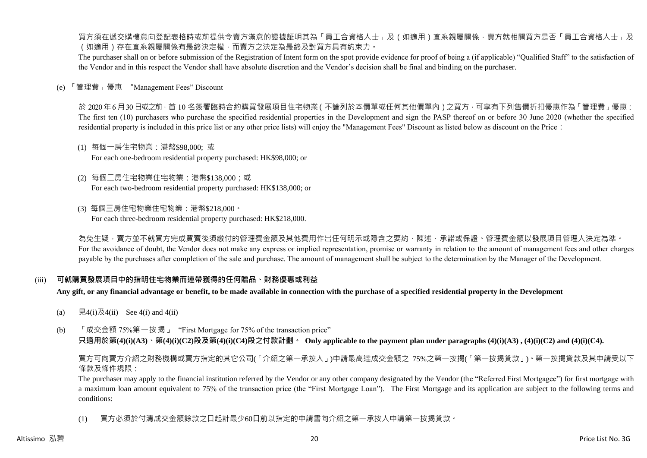買方須在遞交購樓意向登記表格時或前提供令賣方滿意的證據証明其為「員工合資格人士」及(如適用)直系親屬關係,賣方就相關買方是否「員工合資格人士」及 (如適用)存在直系親屬關係有最終決定權,而賣方之決定為最終及對買方具有約束力。

The purchaser shall on or before submission of the Registration of Intent form on the spot provide evidence for proof of being a (if applicable) "Qualified Staff" to the satisfaction of the Vendor and in this respect the Vendor shall have absolute discretion and the Vendor's decision shall be final and binding on the purchaser.

(e) 「管理費」優惠 "Management Fees" Discount

於 2020年6月30日或之前,首 10 名簽署臨時合約購買發展項目住宅物業(不論列於本價單或任何其他價單內)之買方,可享有下列售價折扣優惠作為「管理費」優惠: The first ten (10) purchasers who purchase the specified residential properties in the Development and sign the PASP thereof on or before 30 June 2020 (whether the specified residential property is included in this price list or any other price lists) will enjoy the "Management Fees" Discount as listed below as discount on the Price:

- (1) 每個一房住宅物業:港幣\$98,000; 或 For each one-bedroom residential property purchased: HK\$98,000; or
- (2) 每個二房住宅物業住宅物業:港幣\$138,000;或 For each two-bedroom residential property purchased: HK\$138,000; or
- (3) 每個三房住宅物業住宅物業:港幣\$218,000。 For each three-bedroom residential property purchased: HK\$218,000.

為免生疑,賣方並不就買方完成買賣後須繳付的管理費金額及其他費用作出任何明示或隱含之要約、陳述、承諾或保證。管理費金額以發展項目管理人決定為準。 For the avoidance of doubt, the Vendor does not make any express or implied representation, promise or warranty in relation to the amount of management fees and other charges payable by the purchases after completion of the sale and purchase. The amount of management shall be subject to the determination by the Manager of the Development.

#### (iii) **可就購買發展項目中的指明住宅物業而連帶獲得的任何贈品、財務優惠或利益**

**Any gift, or any financial advantage or benefit, to be made available in connection with the purchase of a specified residential property in the Development**

- (a)  $\quad \overline{R}4(i)\overline{R}4(ii)$  See 4(i) and 4(ii)
- (b) 「成交金額 75%第一按揭」 "First Mortgage for 75% of the transaction price" **只適用於第(4)(i)(A3)、第(4)(i)(C2)段及第(4)(i)(C4)段之付款計劃。 Only applicable to the payment plan under paragraphs (4)(i)(A3) , (4)(i)(C2) and (4)(i)(C4).**

買方可向賣方介紹之財務機構或賣方指定的其它公司(「介紹之第一承按人」)申請最高達成交金額之 75%之第一按揭(「第一按揭貸款」)。第一按揭貸款及其申請受以下 條款及條件規限:

The purchaser may apply to the financial institution referred by the Vendor or any other company designated by the Vendor (the "Referred First Mortgagee") for first mortgage with a maximum loan amount equivalent to 75% of the transaction price (the "First Mortgage Loan"). The First Mortgage and its application are subject to the following terms and conditions:

(1) 買方必須於付清成交金額餘款之日起計最少60日前以指定的申請書向介紹之第一承按人申請第一按揭貸款。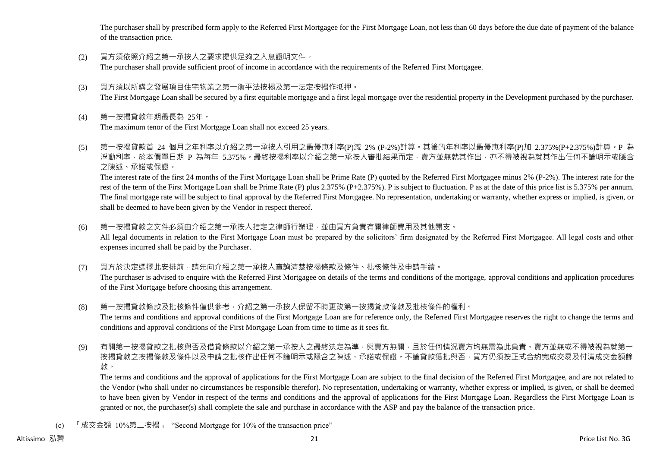The purchaser shall by prescribed form apply to the Referred First Mortgagee for the First Mortgage Loan, not less than 60 days before the due date of payment of the balance of the transaction price.

- (2) 買方須依照介紹之第一承按人之要求提供足夠之入息證明文件。 The purchaser shall provide sufficient proof of income in accordance with the requirements of the Referred First Mortgagee.
- (3) 買方須以所購之發展項目住宅物業之第一衡平法按揭及第一法定按揭作抵押。 The First Mortgage Loan shall be secured by a first equitable mortgage and a first legal mortgage over the residential property in the Development purchased by the purchaser.
- (4) 第一按揭貸款年期最長為 25年。

The maximum tenor of the First Mortgage Loan shall not exceed 25 years.

(5) 第一按揭貸款首 24 個月之年利率以介紹之第一承按人引用之最優惠利率(P)減 2% (P-2%)計算。其後的年利率以最優惠利率(P)加 2.375%(P+2.375%)計算。P 為 浮動利率,於本價單日期 P 為每年 5.375%。最終按揭利率以介紹之第一承按人審批結果而定,賣方並無就其作出,亦不得被視為就其作出任何不論明示或隱含 之陳述、承諾或保證。 The interest rate of the first 24 months of the First Mortgage Loan shall be Prime Rate (P) quoted by the Referred First Mortgagee minus 2% (P-2%). The interest rate for the

rest of the term of the First Mortgage Loan shall be Prime Rate (P) plus 2.375% (P+2.375%). P is subject to fluctuation. P as at the date of this price list is 5.375% per annum. The final mortgage rate will be subject to final approval by the Referred First Mortgagee. No representation, undertaking or warranty, whether express or implied, is given, or shall be deemed to have been given by the Vendor in respect thereof.

- (6) 第一按揭貸款之文件必須由介紹之第一承按人指定之律師行辦理,並由買方負責有關律師費用及其他開支。 All legal documents in relation to the First Mortgage Loan must be prepared by the solicitors' firm designated by the Referred First Mortgagee. All legal costs and other expenses incurred shall be paid by the Purchaser.
- (7) 買方於決定選擇此安排前,請先向介紹之第一承按人查詢清楚按揭條款及條件、批核條件及申請手續。 The purchaser is advised to enquire with the Referred First Mortgagee on details of the terms and conditions of the mortgage, approval conditions and application procedures of the First Mortgage before choosing this arrangement.
- (8) 第一按揭貸款條款及批核條件僅供參考,介紹之第一承按人保留不時更改第一按揭貸款條款及批核條件的權利。 The terms and conditions and approval conditions of the First Mortgage Loan are for reference only, the Referred First Mortgagee reserves the right to change the terms and conditions and approval conditions of the First Mortgage Loan from time to time as it sees fit.
- (9) 有關第一按揭貸款之批核與否及借貸條款以介紹之第一承按人之最終決定為準,與賣方無關,且於任何情況賣方均無需為此負責。賣方並無或不得被視為就第一 按揭貸款之按揭條款及條件以及申請之批核作出任何不論明示或隱含之陳述、承諾或保證。不論貸款獲批與否,買方仍須按正式合約完成交易及付清成交金額餘 款。

The terms and conditions and the approval of applications for the First Mortgage Loan are subject to the final decision of the Referred First Mortgagee, and are not related to the Vendor (who shall under no circumstances be responsible therefor). No representation, undertaking or warranty, whether express or implied, is given, or shall be deemed to have been given by Vendor in respect of the terms and conditions and the approval of applications for the First Mortgage Loan. Regardless the First Mortgage Loan is granted or not, the purchaser(s) shall complete the sale and purchase in accordance with the ASP and pay the balance of the transaction price.

(c) 「成交金額 10%第二按揭」 "Second Mortgage for 10% of the transaction price"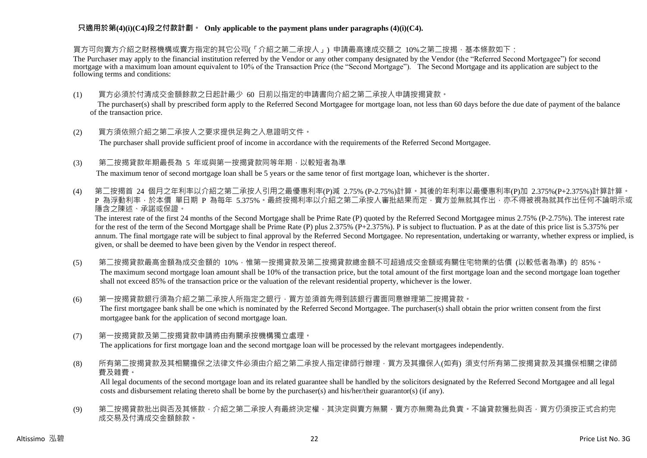買方可向賣方介紹之財務機構或賣方指定的其它公司(「介紹之第二承按人」) 申請最高達成交額之 10%之第二按揭,基本條款如下:

The Purchaser may apply to the financial institution referred by the Vendor or any other company designated by the Vendor (the "Referred Second Mortgagee") for second mortgage with a maximum loan amount equivalent to 10% of the Transaction Price (the "Second Mortgage"). The Second Mortgage and its application are subject to the following terms and conditions:

(1) 買方必須於付清成交金額餘款之日起計最少 60 日前以指定的申請書向介紹之第二承按人申請按揭貸款。

The purchaser(s) shall by prescribed form apply to the Referred Second Mortgagee for mortgage loan, not less than 60 days before the due date of payment of the balance of the transaction price.

(2) 買方須依照介紹之第二承按人之要求提供足夠之入息證明文件。

The purchaser shall provide sufficient proof of income in accordance with the requirements of the Referred Second Mortgagee.

(3) 第二按揭貸款年期最長為 5 年或與第一按揭貸款同等年期,以較短者為準

The maximum tenor of second mortgage loan shall be 5 years or the same tenor of first mortgage loan, whichever is the shorter.

(4) 第二按揭首 24 個月之年利率以介紹之第二承按人引用之最優惠利率(P)減 2.75% (P-2.75%)計算。其後的年利率以最優惠利率(P)加 2.375%(P+2.375%)計算計算。 P 為浮動利率,於本價 單日期 P 為每年 5.375%。最終按揭利率以介紹之第二承按人審批結果而定,賣方並無就其作出,亦不得被視為就其作出任何不論明示或 隱含之陳述、承諾或保證。

The interest rate of the first 24 months of the Second Mortgage shall be Prime Rate (P) quoted by the Referred Second Mortgagee minus 2.75% (P-2.75%). The interest rate for the rest of the term of the Second Mortgage shall be Prime Rate (P) plus 2.375% (P+2.375%). P is subject to fluctuation. P as at the date of this price list is 5.375% per annum. The final mortgage rate will be subject to final approval by the Referred Second Mortgagee. No representation, undertaking or warranty, whether express or implied, is given, or shall be deemed to have been given by the Vendor in respect thereof.

- (5) 第二按揭貸款最高金額為成交金額的 10%,惟第一按揭貸款及第二按揭貸款總金額不可超過成交金額或有關住宅物業的估價 (以較低者為準) 的 85%。 The maximum second mortgage loan amount shall be 10% of the transaction price, but the total amount of the first mortgage loan and the second mortgage loan together shall not exceed 85% of the transaction price or the valuation of the relevant residential property, whichever is the lower.
- (6) 第一按揭貸款銀行須為介紹之第二承按人所指定之銀行,買方並須首先得到該銀行書面同意辦理第二按揭貸款。 The first mortgagee bank shall be one which is nominated by the Referred Second Mortgagee. The purchaser(s) shall obtain the prior written consent from the first mortgagee bank for the application of second mortgage loan.
- (7) 第一按揭貸款及第二按揭貸款申請將由有關承按機構獨立處理。 The applications for first mortgage loan and the second mortgage loan will be processed by the relevant mortgagees independently.
- (8) 所有第二按揭貸款及其相關擔保之法律文件必須由介紹之第二承按人指定律師行辦理,買方及其擔保人(如有) 須支付所有第二按揭貸款及其擔保相關之律師 費及雜費。

All legal documents of the second mortgage loan and its related guarantee shall be handled by the solicitors designated by the Referred Second Mortgagee and all legal costs and disbursement relating thereto shall be borne by the purchaser(s) and his/her/their guarantor(s) (if any).

(9) 第二按揭貸款批出與否及其條款,介紹之第二承按人有最終決定權,其決定與賣方無關,賣方亦無需為此負責。不論貸款獲批與否,買方仍須按正式合約完 成交易及付清成交金額餘款。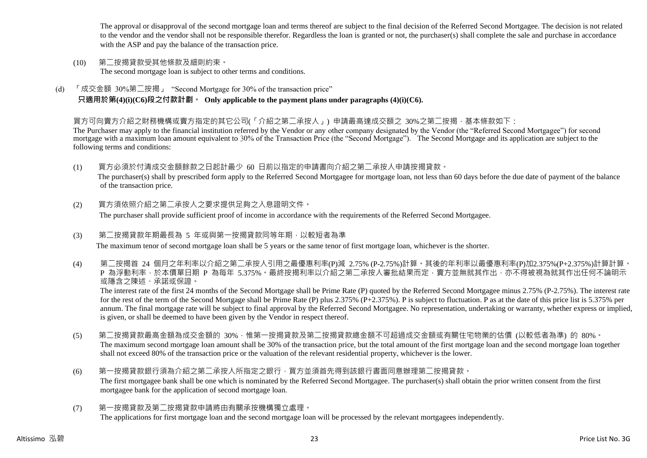The approval or disapproval of the second mortgage loan and terms thereof are subject to the final decision of the Referred Second Mortgagee. The decision is not related to the vendor and the vendor shall not be responsible therefor. Regardless the loan is granted or not, the purchaser(s) shall complete the sale and purchase in accordance with the ASP and pay the balance of the transaction price.

- (10) 第二按揭貸款受其他條款及細則約束。 The second mortgage loan is subject to other terms and conditions.
- (d) 「成交金額 30%第二按揭」 "Second Mortgage for 30% of the transaction price" **只適用於第(4)(i)(C6)段之付款計劃。 Only applicable to the payment plans under paragraphs (4)(i)(C6).**

### 買方可向賣方介紹之財務機構或賣方指定的其它公司(「介紹之第二承按人」) 申請最高達成交額之 30%之第二按揭,基本條款如下:

The Purchaser may apply to the financial institution referred by the Vendor or any other company designated by the Vendor (the "Referred Second Mortgagee") for second mortgage with a maximum loan amount equivalent to 30% of the Transaction Price (the "Second Mortgage"). The Second Mortgage and its application are subject to the following terms and conditions:

- (1) 買方必須於付清成交金額餘款之日起計最少 60 日前以指定的申請書向介紹之第二承按人申請按揭貸款。 The purchaser(s) shall by prescribed form apply to the Referred Second Mortgagee for mortgage loan, not less than 60 days before the due date of payment of the balance of the transaction price.
- (2) 買方須依照介紹之第二承按人之要求提供足夠之入息證明文件。 The purchaser shall provide sufficient proof of income in accordance with the requirements of the Referred Second Mortgagee.
- (3) 第二按揭貸款年期最長為 5 年或與第一按揭貸款同等年期,以較短者為準 The maximum tenor of second mortgage loan shall be 5 years or the same tenor of first mortgage loan, whichever is the shorter.
- (4) 第二按揭首 24 個月之年利率以介紹之第二承按人引用之最優惠利率(P)減 2.75% (P-2.75%)計算。其後的年利率以最優惠利率(P)加2.375%(P+2.375%)計算計算。 P 為浮動利率,於本價單日期 P 為每年 5.375%。最終按揭利率以介紹之第二承按人審批結果而定,賣方並無就其作出,亦不得被視為就其作出任何不論明示 或隱含之陳述、承諾或保證。

The interest rate of the first 24 months of the Second Mortgage shall be Prime Rate (P) quoted by the Referred Second Mortgagee minus 2.75% (P-2.75%). The interest rate for the rest of the term of the Second Mortgage shall be Prime Rate (P) plus 2.375% (P+2.375%). P is subject to fluctuation. P as at the date of this price list is 5.375% per annum. The final mortgage rate will be subject to final approval by the Referred Second Mortgagee. No representation, undertaking or warranty, whether express or implied, is given, or shall be deemed to have been given by the Vendor in respect thereof.

- (5) 第二按揭貸款最高金額為成交金額的 30%,惟第一按揭貸款及第二按揭貸款總金額不可超過成交金額或有關住宅物業的估價 (以較低者為準) 的 80%。 The maximum second mortgage loan amount shall be 30% of the transaction price, but the total amount of the first mortgage loan and the second mortgage loan together shall not exceed 80% of the transaction price or the valuation of the relevant residential property, whichever is the lower.
- (6) 第一按揭貸款銀行須為介紹之第二承按人所指定之銀行,買方並須首先得到該銀行書面同意辦理第二按揭貸款。 The first mortgagee bank shall be one which is nominated by the Referred Second Mortgagee. The purchaser(s) shall obtain the prior written consent from the first mortgagee bank for the application of second mortgage loan.
- (7) 第一按揭貸款及第二按揭貸款申請將由有關承按機構獨立處理。 The applications for first mortgage loan and the second mortgage loan will be processed by the relevant mortgagees independently.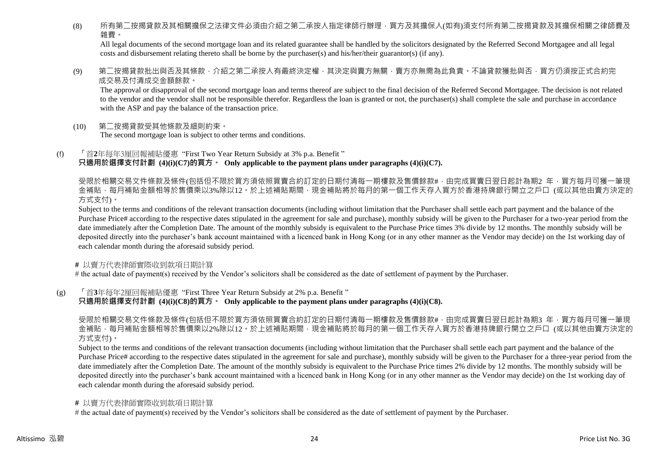(8) 所有第二按揭貸款及其相關擔保之法律文件必須由介紹之第二承按人指定律師行辦理,買方及其擔保人(如有)須支付所有第二按揭貸款及其擔保相關之律師費及 雜費。

All legal documents of the second mortgage loan and its related guarantee shall be handled by the solicitors designated by the Referred Second Mortgagee and all legal costs and disbursement relating thereto shall be borne by the purchaser(s) and his/her/their guarantor(s) (if any).

(9) 第二按揭貸款批出與否及其條款,介紹之第二承按人有最終決定權,其決定與賣方無關,賣方亦無需為此負責。不論貸款獲批與否,買方仍須按正式合約完 成交易及付清成交金額餘款。

The approval or disapproval of the second mortgage loan and terms thereof are subject to the final decision of the Referred Second Mortgagee. The decision is not related to the vendor and the vendor shall not be responsible therefor. Regardless the loan is granted or not, the purchaser(s) shall complete the sale and purchase in accordance with the ASP and pay the balance of the transaction price.

- (10) 第二按揭貸款受其他條款及細則約束。 The second mortgage loan is subject to other terms and conditions.
- (f) 「首**2**年每年3厘回報補貼優惠 "First Two Year Return Subsidy at 3% p.a. Benefit " **只適用於選擇支付計劃 (4)(i)(C7)的買方。 Only applicable to the payment plans under paragraphs (4)(i)(C7).**

受限於相關交易文件條款及條件(包括但不限於買方須依照買賣合約訂定的日期付清每一期樓款及售價餘款#,由完成買賣日翌日起計為期2 年,買方每月可獲一筆現 金補貼,每月補貼金額相等於售價乘以3%除以12。於上述補貼期間,現金補貼將於每月的第一個工作天存入買方於香港持牌銀行開立之戶口 (或以其他由賣方決定的 方式支付)。

Subject to the terms and conditions of the relevant transaction documents (including without limitation that the Purchaser shall settle each part payment and the balance of the Purchase Price# according to the respective dates stipulated in the agreement for sale and purchase), monthly subsidy will be given to the Purchaser for a two-year period from the date immediately after the Completion Date. The amount of the monthly subsidy is equivalent to the Purchase Price times 3% divide by 12 months. The monthly subsidy will be deposited directly into the purchaser's bank account maintained with a licenced bank in Hong Kong (or in any other manner as the Vendor may decide) on the 1st working day of each calendar month during the aforesaid subsidy period.

**#** 以賣方代表律師實際收到款項日期計算

# the actual date of payment(s) received by the Vendor's solicitors shall be considered as the date of settlement of payment by the Purchaser.

(g) 「首**3**年每年2厘回報補貼優惠 "First Three Year Return Subsidy at 2% p.a. Benefit "

**只適用於選擇支付計劃 (4)(i)(C8)的買方。 Only applicable to the payment plans under paragraphs (4)(i)(C8).**

受限於相關交易文件條款及條件(包括但不限於買方須依照買賣合約訂定的日期付清每一期樓款及售價餘款#,由完成買賣日翌日起計為期3 年,買方每月可獲一筆現 金補貼,每月補貼金額相等於售價乘以2%除以12。於上述補貼期間,現金補貼將於每月的第一個工作天存入買方於香港持牌銀行開立之戶口 (或以其他由賣方決定的 方式支付)。

Subject to the terms and conditions of the relevant transaction documents (including without limitation that the Purchaser shall settle each part payment and the balance of the Purchase Price# according to the respective dates stipulated in the agreement for sale and purchase), monthly subsidy will be given to the Purchaser for a three-year period from the date immediately after the Completion Date. The amount of the monthly subsidy is equivalent to the Purchase Price times 2% divide by 12 months. The monthly subsidy will be deposited directly into the purchaser's bank account maintained with a licenced bank in Hong Kong (or in any other manner as the Vendor may decide) on the 1st working day of each calendar month during the aforesaid subsidy period.

#### **#** 以賣方代表律師實際收到款項日期計算

# the actual date of payment(s) received by the Vendor's solicitors shall be considered as the date of settlement of payment by the Purchaser.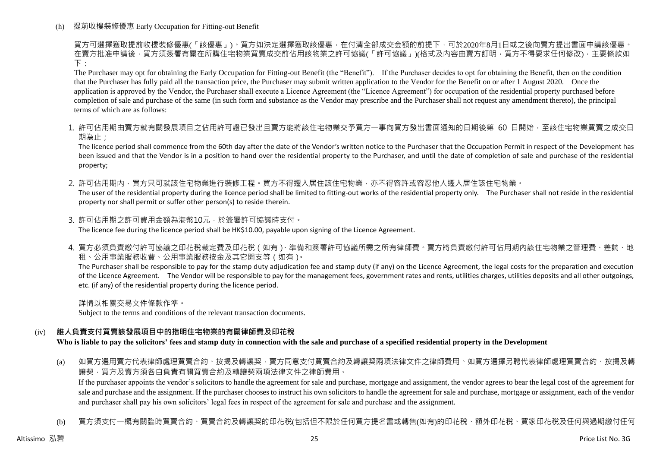(h) 提前收樓裝修優惠 Early Occupation for Fitting-out Benefit

買方可選擇獲取提前收樓裝修優惠(「該優惠」)。買方如決定選擇獲取該優惠,在付清全部成交金額的前提下,可於2020年8月1日或之後向賣方提出書面申請該優惠。 在賣方批准申請後 · 買方須簽署有關在所購住宅物業買賣成交前佔用該物業之許可協議(「許可協議」)(格式及內容由賣方訂明 · 買方不得要求任何修改) · 主要條款如 下:

The Purchaser may opt for obtaining the Early Occupation for Fitting-out Benefit (the "Benefit"). If the Purchaser decides to opt for obtaining the Benefit, then on the condition that the Purchaser has fully paid all the transaction price, the Purchaser may submit written application to the Vendor for the Benefit on or after 1 August 2020. Once the application is approved by the Vendor, the Purchaser shall execute a Licence Agreement (the "Licence Agreement") for occupation of the residential property purchased before completion of sale and purchase of the same (in such form and substance as the Vendor may prescribe and the Purchaser shall not request any amendment thereto), the principal terms of which are as follows:

1. 許可佔用期由賣方就有關發展項目之佔用許可證已發出且賣方能將該住宅物業交予買方一事向買方發出書面通知的日期後第 60 日開始,至該住宅物業買賣之成交日 期為止;

The licence period shall commence from the 60th day after the date of the Vendor's written notice to the Purchaser that the Occupation Permit in respect of the Development has been issued and that the Vendor is in a position to hand over the residential property to the Purchaser, and until the date of completion of sale and purchase of the residential property;

2. 許可佔用期内 ,買方只可就該住宅物業進行裝修工程。買方不得遷入居住該住宅物業,亦不得容許或容忍他人遷入居住該住宅物業。

The user of the residential property during the licence period shall be limited to fitting-out works of the residential property only. The Purchaser shall not reside in the residential property nor shall permit or suffer other person(s) to reside therein.

- 3. 許可佔用期之許可費用金額為港幣10元,於簽署許可協議時支付。 The licence fee during the licence period shall be HK\$10.00, payable upon signing of the Licence Agreement.
- 4. 買方必須負責繳付許可協議之印花稅裁定費及印花稅(如有)、準備和簽署許可協議所需之所有律師費。賣方將負責繳付許可佔用期內該住宅物業之管理費、差餉、地 租、公用事業服務收費、公用事業服務按金及其它開支等(如有)。

The Purchaser shall be responsible to pay for the stamp duty adjudication fee and stamp duty (if any) on the Licence Agreement, the legal costs for the preparation and execution of the Licence Agreement. The Vendor will be responsible to pay for the management fees, government rates and rents, utilities charges, utilities deposits and all other outgoings, etc. (if any) of the residential property during the licence period.

詳情以相關交易文件條款作準。

Subject to the terms and conditions of the relevant transaction documents.

# (iv) **誰人負責支付買賣該發展項目中的指明住宅物業的有關律師費及印花稅**

**Who is liable to pay the solicitors' fees and stamp duty in connection with the sale and purchase of a specified residential property in the Development**

(a) 如買方選用賣方代表律師處理買賣合約、按揭及轉讓契,賣方同意支付買賣合約及轉讓契兩項法律文件之律師費用。如買方選擇另聘代表律師處理買賣合約、按揭及轉 讓契,買方及賣方須各自負責有關買賣合約及轉讓契兩項法律文件之律師費用。

If the purchaser appoints the vendor's solicitors to handle the agreement for sale and purchase, mortgage and assignment, the vendor agrees to bear the legal cost of the agreement for sale and purchase and the assignment. If the purchaser chooses to instruct his own solicitors to handle the agreement for sale and purchase, mortgage or assignment, each of the vendor and purchaser shall pay his own solicitors' legal fees in respect of the agreement for sale and purchase and the assignment.

(b) 買方須支付一概有關臨時買賣合約、買賣合約及轉讓契的印花稅(包括但不限於任何買方提名書或轉售(如有)的印花稅、額外印花稅、買家印花稅及任何與過期繳付任何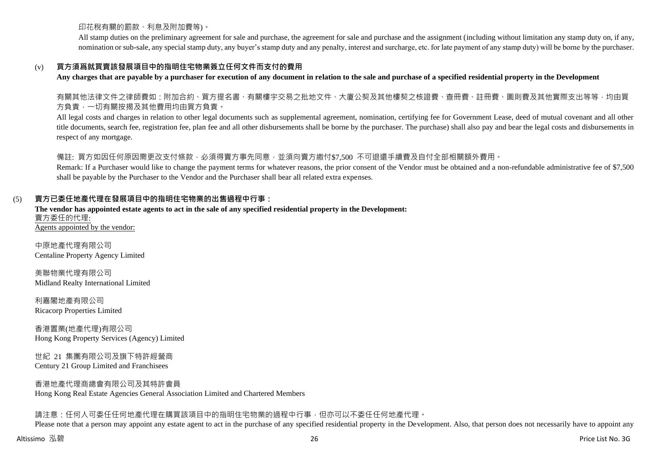印花稅有關的罰款、利息及附加費等)。

All stamp duties on the preliminary agreement for sale and purchase, the agreement for sale and purchase and the assignment (including without limitation any stamp duty on, if any, nomination or sub-sale, any special stamp duty, any buyer's stamp duty and any penalty, interest and surcharge, etc. for late payment of any stamp duty) will be borne by the purchaser.

# (v) **買方須爲就買賣該發展項目中的指明住宅物業簽立任何文件而支付的費用**

**Any charges that are payable by a purchaser for execution of any document in relation to the sale and purchase of a specified residential property in the Development**

有關其他法律文件之律師費如:附加合約、買方提名書、有關樓宇交易之批地文件、大廈公契及其他樓契之核證費、查冊費、註冊費、圖則費及其他實際支出等等,均由買 方負責,一切有關按揭及其他費用均由買方負責。

All legal costs and charges in relation to other legal documents such as supplemental agreement, nomination, certifying fee for Government Lease, deed of mutual covenant and all other title documents, search fee, registration fee, plan fee and all other disbursements shall be borne by the purchaser. The purchase) shall also pay and bear the legal costs and disbursements in respect of any mortgage.

# 備註: 買方如因任何原因需更改支付條款,必須得賣方事先同意,並須向賣方繳付\$7,500 不可狠還手續費及自付全部相關額外費用。

Remark: If a Purchaser would like to change the payment terms for whatever reasons, the prior consent of the Vendor must be obtained and a non-refundable administrative fee of \$7,500 shall be payable by the Purchaser to the Vendor and the Purchaser shall bear all related extra expenses.

# (5) **賣方已委任地產代理在發展項目中的指明住宅物業的出售過程中行事:**

**The vendor has appointed estate agents to act in the sale of any specified residential property in the Development:** 賣方委任的代理: Agents appointed by the vendor:

中原地產代理有限公司 Centaline Property Agency Limited

美聯物業代理有限公司 Midland Realty International Limited

利嘉閣地產有限公司 Ricacorp Properties Limited

香港置業(地產代理)有限公司 Hong Kong Property Services (Agency) Limited

世紀 21 集團有限公司及旗下特許經營商 Century 21 Group Limited and Franchisees

香港地產代理商總會有限公司及其特許會員 Hong Kong Real Estate Agencies General Association Limited and Chartered Members

請注意:任何人可委任任何地產代理在購買該項目中的指明住宅物業的過程中行事,但亦可以不委任任何地產代理。

Please note that a person may appoint any estate agent to act in the purchase of any specified residential property in the Development. Also, that person does not necessarily have to appoint any